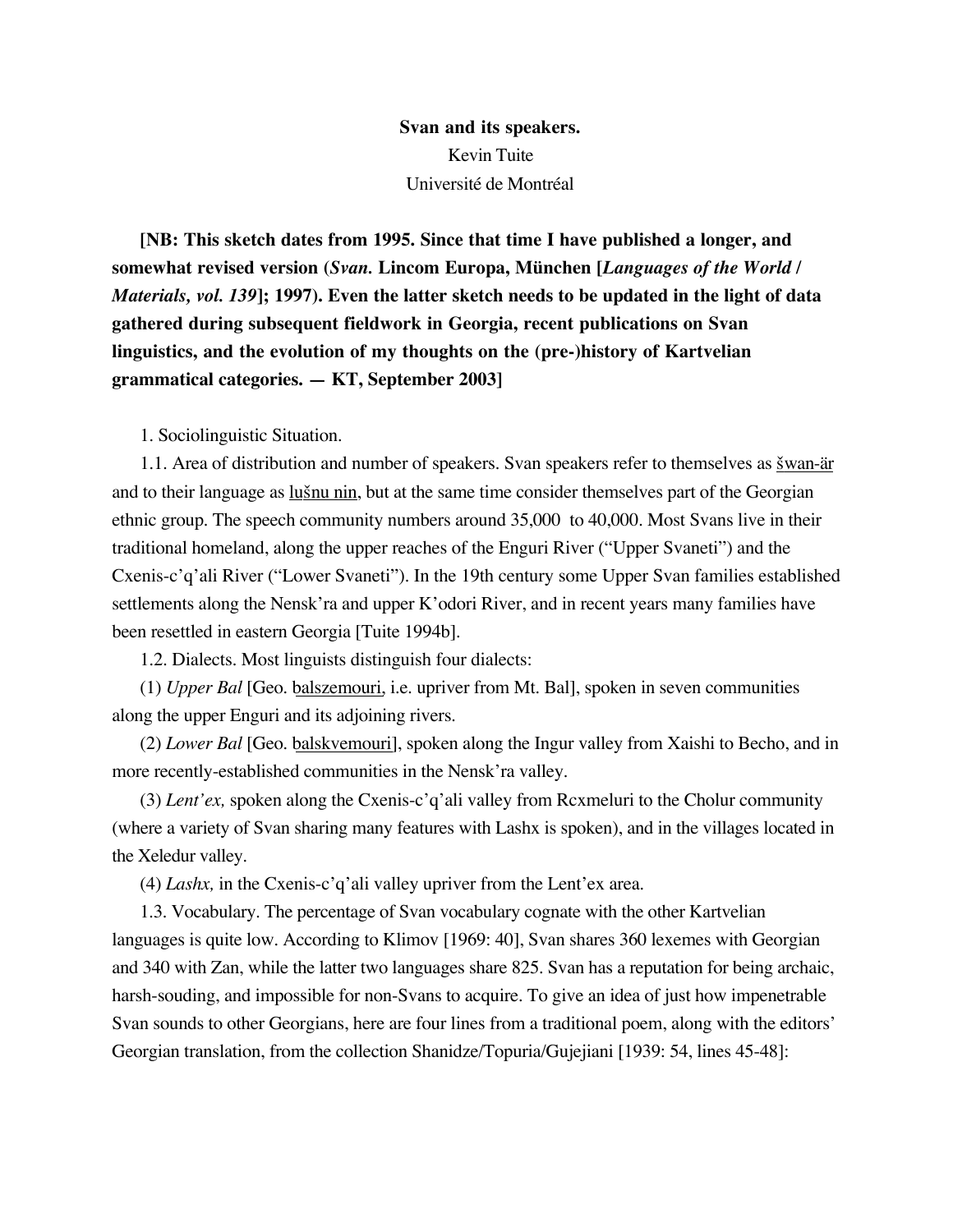**Svan and its speakers.** Kevin Tuite Université de Montréal

**[NB: This sketch dates from 1995. Since that time I have published a longer, and somewhat revised version (***Svan.* **Lincom Europa, München [***Languages of the World / Materials, vol. 139***]; 1997). Even the latter sketch needs to be updated in the light of data gathered during subsequent fieldwork in Georgia, recent publications on Svan linguistics, and the evolution of my thoughts on the (pre-)history of Kartvelian grammatical categories. — KT, September 2003]**

1. Sociolinguistic Situation.

1.1. Area of distribution and number of speakers. Svan speakers refer to themselves as *šwan-är* and to their language as  $\underline{\text{lu}\xi\text{nu}}$  nut at the same time consider themselves part of the Georgian ethnic group. The speech community numbers around 35,000 to 40,000. Most Svans live in their traditional homeland, along the upper reaches of the Enguri River ("Upper Svaneti") and the Cxenis-c'q'ali River ("Lower Svaneti"). In the 19th century some Upper Svan families established settlements along the Nensk'ra and upper K'odori River, and in recent years many families have been resettled in eastern Georgia [Tuite 1994b].

1.2. Dialects. Most linguists distinguish four dialects:

(1) *Upper Bal* [Geo. balszemouri, i.e. upriver from Mt. Bal], spoken in seven communities along the upper Enguri and its adjoining rivers.

(2) *Lower Bal* [Geo. balskvemouri], spoken along the Ingur valley from Xaishi to Becho, and in more recently-established communities in the Nensk'ra valley.

(3) *Lent'ex,* spoken along the Cxenis-c'q'ali valley from Rcxmeluri to the Cholur community (where a variety of Svan sharing many features with Lashx is spoken), and in the villages located in the Xeledur valley.

(4) *Lashx,* in the Cxenis-c'q'ali valley upriver from the Lent'ex area.

1.3. Vocabulary. The percentage of Svan vocabulary cognate with the other Kartvelian languages is quite low. According to Klimov [1969: 40], Svan shares 360 lexemes with Georgian and 340 with Zan, while the latter two languages share 825. Svan has a reputation for being archaic, harsh-souding, and impossible for non-Svans to acquire. To give an idea of just how impenetrable Svan sounds to other Georgians, here are four lines from a traditional poem, along with the editors' Georgian translation, from the collection Shanidze/Topuria/Gujejiani [1939: 54, lines 45-48]: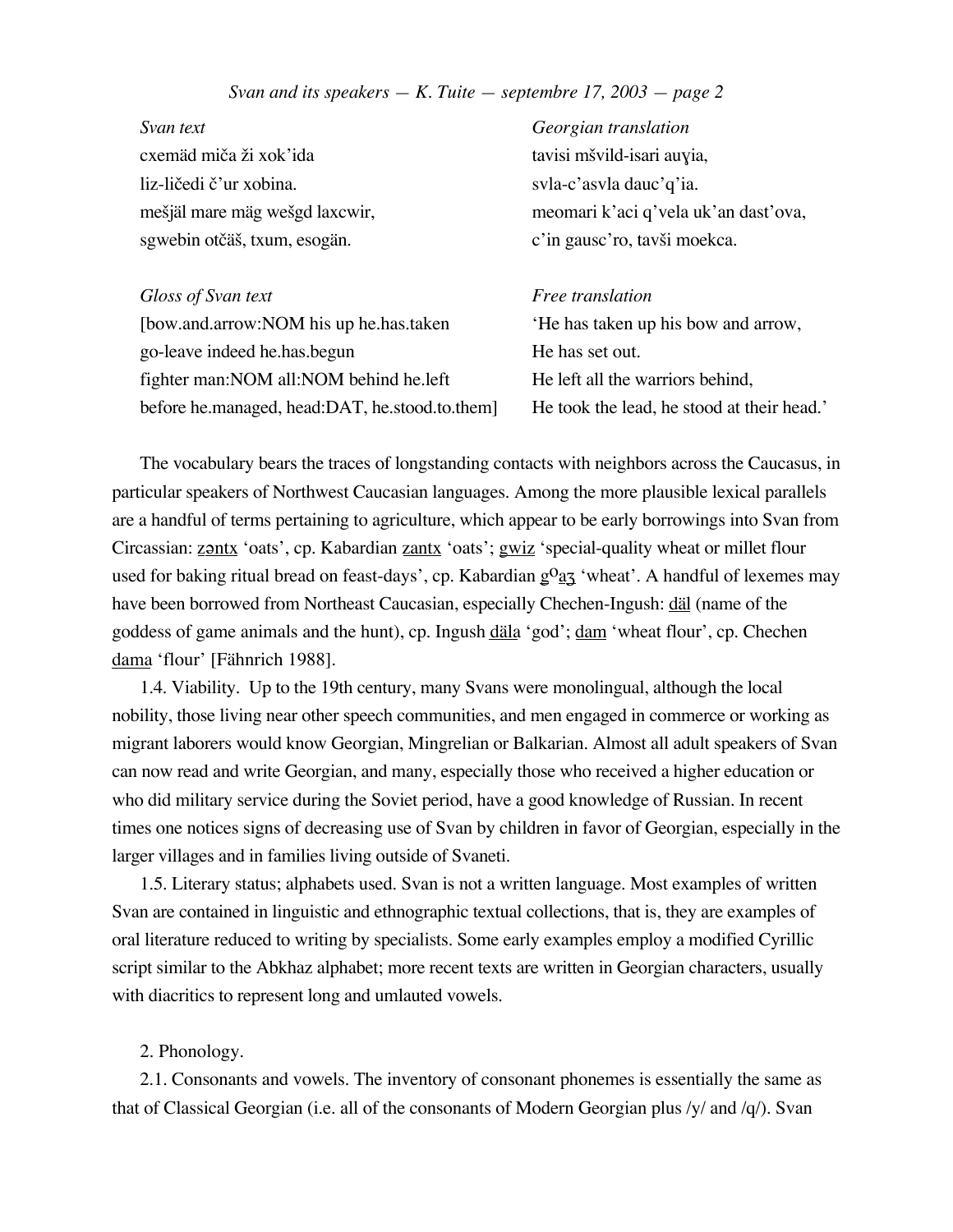*Svan text Georgian translation* cxemäd miča ži xok'ida tavisi mšvild-isari auyia, liz-ličedi č'ur xobina. svla-c'asvla dauc'q'ia. sgwebin otčäš, txum, esogän. c'in gausc'ro, tavši moekca.

*Gloss of Svan text Free translation* [bow.and.arrow:NOM his up he.has.taken 'He has taken up his bow and arrow, go-leave indeed he.has.begun He has set out. fighter man: NOM all: NOM behind he. left He left all the warriors behind, before he.managed, head:DAT, he.stood.to.them] He took the lead, he stood at their head.'

me£jäl mare mäg we£gd laxcwir, meomari k'aci q'vela uk'an dast'ova,

The vocabulary bears the traces of longstanding contacts with neighbors across the Caucasus, in particular speakers of Northwest Caucasian languages. Among the more plausible lexical parallels are a handful of terms pertaining to agriculture, which appear to be early borrowings into Svan from Circassian: zontx 'oats', cp. Kabardian zantx 'oats'; gwiz 'special-quality wheat or millet flour used for baking ritual bread on feast-days', cp. Kabardian  $g^0 a_3$  'wheat'. A handful of lexemes may have been borrowed from Northeast Caucasian, especially Chechen-Ingush: däl (name of the goddess of game animals and the hunt), cp. Ingush däla 'god'; dam 'wheat flour', cp. Chechen dama 'flour' [Fähnrich 1988].

1.4. Viability. Up to the 19th century, many Svans were monolingual, although the local nobility, those living near other speech communities, and men engaged in commerce or working as migrant laborers would know Georgian, Mingrelian or Balkarian. Almost all adult speakers of Svan can now read and write Georgian, and many, especially those who received a higher education or who did military service during the Soviet period, have a good knowledge of Russian. In recent times one notices signs of decreasing use of Svan by children in favor of Georgian, especially in the larger villages and in families living outside of Svaneti.

1.5. Literary status; alphabets used. Svan is not a written language. Most examples of written Svan are contained in linguistic and ethnographic textual collections, that is, they are examples of oral literature reduced to writing by specialists. Some early examples employ a modified Cyrillic script similar to the Abkhaz alphabet; more recent texts are written in Georgian characters, usually with diacritics to represent long and umlauted vowels.

# 2. Phonology.

2.1. Consonants and vowels. The inventory of consonant phonemes is essentially the same as that of Classical Georgian (i.e. all of the consonants of Modern Georgian plus /y/ and /q/). Svan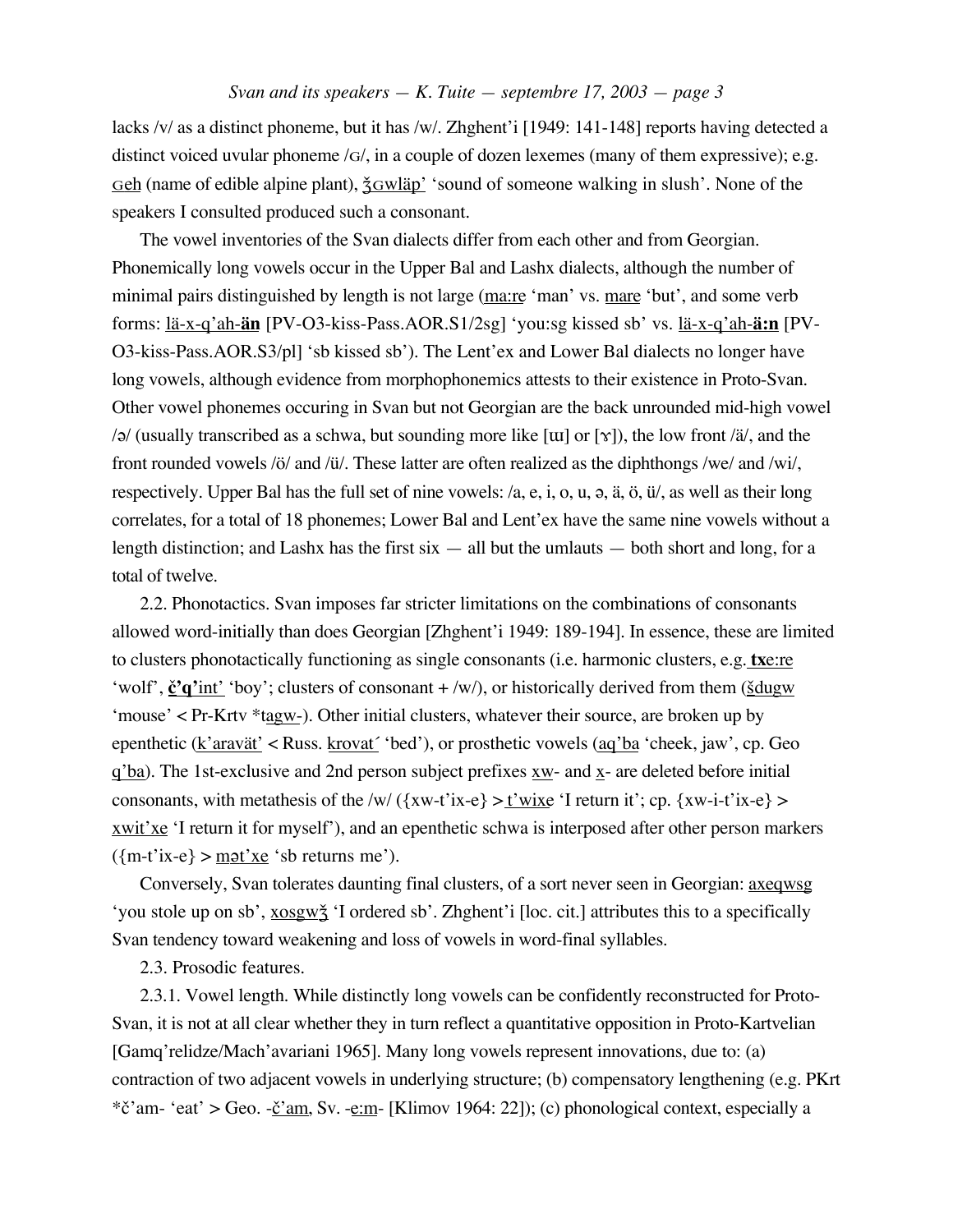lacks /v/ as a distinct phoneme, but it has /w/. Zhghent'i [1949: 141-148] reports having detected a distinct voiced uvular phoneme /G/, in a couple of dozen lexemes (many of them expressive); e.g. Geh (name of edible alpine plant),  $\frac{2}{3}$ Gwläp' 'sound of someone walking in slush'. None of the speakers I consulted produced such a consonant.

The vowel inventories of the Svan dialects differ from each other and from Georgian. Phonemically long vowels occur in the Upper Bal and Lashx dialects, although the number of minimal pairs distinguished by length is not large (ma:re 'man' vs. mare 'but', and some verb forms: lä-x-q'ah-**än** [PV-O3-kiss-Pass.AOR.S1/2sg] 'you:sg kissed sb' vs. lä-x-q'ah-**ä:n** [PV-O3-kiss-Pass.AOR.S3/pl] 'sb kissed sb'). The Lent'ex and Lower Bal dialects no longer have long vowels, although evidence from morphophonemics attests to their existence in Proto-Svan. Other vowel phonemes occuring in Svan but not Georgian are the back unrounded mid-high vowel  $\alpha$  (usually transcribed as a schwa, but sounding more like [u] or [ $\gamma$ ]), the low front /ä/, and the front rounded vowels /ö/ and /ü/. These latter are often realized as the diphthongs /we/ and /wi/, respectively. Upper Bal has the full set of nine vowels:  $/a$ , e, i, o, u,  $a$ , ä, ö, ü $\ell$ , as well as their long correlates, for a total of 18 phonemes; Lower Bal and Lent'ex have the same nine vowels without a length distinction; and Lashx has the first  $\sin$  — all but the umlauts — both short and long, for a total of twelve.

2.2. Phonotactics. Svan imposes far stricter limitations on the combinations of consonants allowed word-initially than does Georgian [Zhghent'i 1949: 189-194]. In essence, these are limited to clusters phonotactically functioning as single consonants (i.e. harmonic clusters, e.g. **tx**e:re 'wolf',  $\underline{\mathbf{c}}^{\prime} \mathbf{q}'$  int' 'boy'; clusters of consonant +/w/), or historically derived from them ( $\underline{\underline{\text{d}}}\underline{\text{d}}$ 'mouse' < Pr-Krtv \*tagw-). Other initial clusters, whatever their source, are broken up by epenthetic (k'aravät' < Russ. krovat' 'bed'), or prosthetic vowels (aq'ba 'cheek, jaw', cp. Geo  $q'ba$ ). The 1st-exclusive and 2nd person subject prefixes  $xw$ - and  $x$ - are deleted before initial consonants, with metathesis of the /w/  $({xw-t'ix-e} > t'wixe' I$  return it'; cp.  ${xw-i-t'ix-e}$ xwit'xe 'I return it for myself'), and an epenthetic schwa is interposed after other person markers  $({m-t'ix-e}) > mgt'xe 'sb returns me').$ 

Conversely, Svan tolerates daunting final clusters, of a sort never seen in Georgian: axeqwsg 'you stole up on sb', xosgwž 'I ordered sb'. Zhghent'i [loc. cit.] attributes this to a specifically Svan tendency toward weakening and loss of vowels in word-final syllables.

2.3. Prosodic features.

2.3.1. Vowel length. While distinctly long vowels can be confidently reconstructed for Proto-Svan, it is not at all clear whether they in turn reflect a quantitative opposition in Proto-Kartvelian [Gamq'relidze/Mach'avariani 1965]. Many long vowels represent innovations, due to: (a) contraction of two adjacent vowels in underlying structure; (b) compensatory lengthening (e.g. PKrt \* $\check{c}$ 'am- 'eat' > Geo. - $\check{c}$ 'am, Sv. -e:m- [Klimov 1964: 22]); (c) phonological context, especially a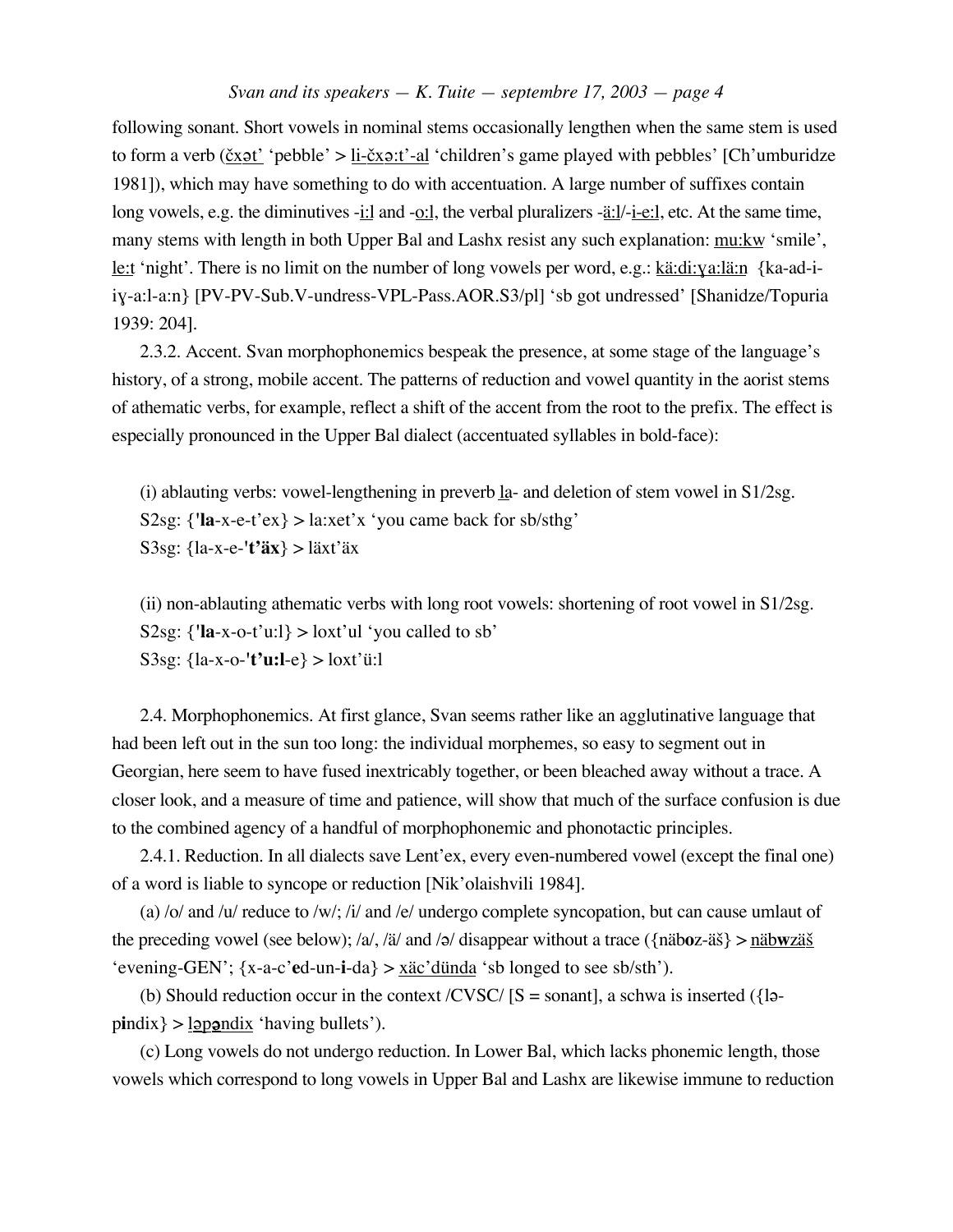following sonant. Short vowels in nominal stems occasionally lengthen when the same stem is used to form a verb ( $\check{c}$ x $\check{c}$ t' 'pebble' > li- $\check{c}$ x $\check{c}$ -al 'children's game played with pebbles' [Ch'umburidze 1981]), which may have something to do with accentuation. A large number of suffixes contain long vowels, e.g. the diminutives -i:l and -o:l, the verbal pluralizers -<u>ä:l</u>/-i-e:l, etc. At the same time, many stems with length in both Upper Bal and Lashx resist any such explanation: mu:kw 'smile', le:t 'night'. There is no limit on the number of long vowels per word, e.g.: kä:di: $q$ a:lä:n {ka-ad-iiƒ-a:l-a:n} [PV-PV-Sub.V-undress-VPL-Pass.AOR.S3/pl] 'sb got undressed' [Shanidze/Topuria 1939: 204].

2.3.2. Accent. Svan morphophonemics bespeak the presence, at some stage of the language's history, of a strong, mobile accent. The patterns of reduction and vowel quantity in the aorist stems of athematic verbs, for example, reflect a shift of the accent from the root to the prefix. The effect is especially pronounced in the Upper Bal dialect (accentuated syllables in bold-face):

(i) ablauting verbs: vowel-lengthening in preverb  $I_a$ - and deletion of stem vowel in S1/2sg. S2sg:  $\{l_a - x - e^{-t} e^{-t} \geq 1$  a:xet'x 'you came back for sb/sthg' S3sg: {la-x-e-**'t'äx**} > läxt'äx

(ii) non-ablauting athematic verbs with long root vowels: shortening of root vowel in S1/2sg. S2sg:  $\{\text{''la-x-o-t'u:}\} > \text{lox't'u' you called to sb'}$ S3sg: {la-x-o-**'t'u:l**-e} > loxt'ü:l

2.4. Morphophonemics. At first glance, Svan seems rather like an agglutinative language that had been left out in the sun too long: the individual morphemes, so easy to segment out in Georgian, here seem to have fused inextricably together, or been bleached away without a trace. A closer look, and a measure of time and patience, will show that much of the surface confusion is due to the combined agency of a handful of morphophonemic and phonotactic principles.

2.4.1. Reduction. In all dialects save Lent'ex, every even-numbered vowel (except the final one) of a word is liable to syncope or reduction [Nik'olaishvili 1984].

(a) /o/ and /u/ reduce to /w/; /i/ and /e/ undergo complete syncopation, but can cause umlaut of the preceding vowel (see below); /a/, /ä/ and /ə/ disappear without a trace ( $\{\text{näboz-äš}\} > \text{näbwzäš}$ 'evening-GEN'; {x-a-c'**e**d-un-**i**-da} > xäc'dünda 'sb longed to see sb/sth').

(b) Should reduction occur in the context /CVSC/  $[S = \text{sonant}]$ , a schwa is inserted ({la $pindix$  >  $l$ <sub>2</sub>  $p$   $pondix$  'having bullets').

(c) Long vowels do not undergo reduction. In Lower Bal, which lacks phonemic length, those vowels which correspond to long vowels in Upper Bal and Lashx are likewise immune to reduction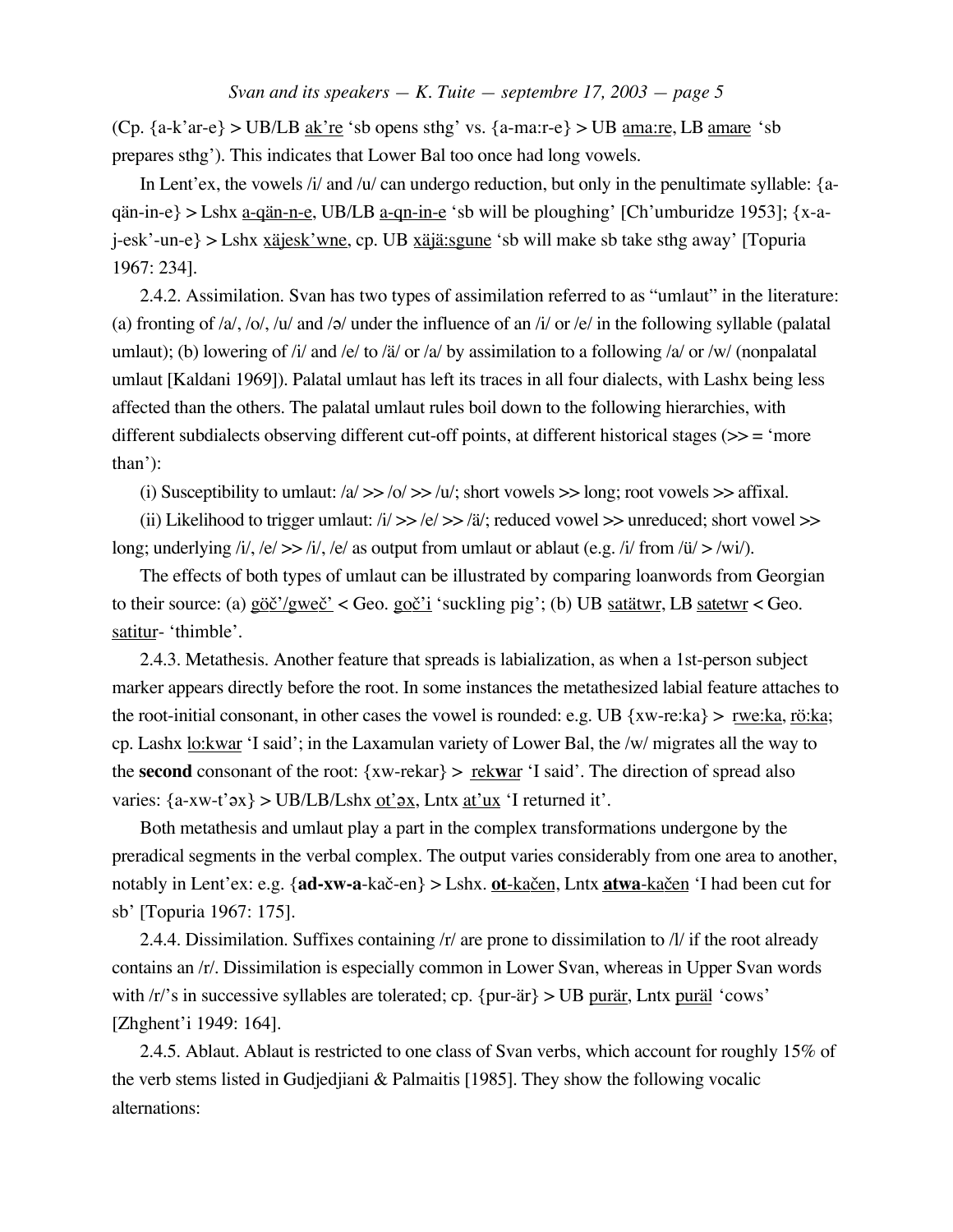(Cp.  ${a-k'ar-e} > UB/LB ak're 'sb opens sthg' vs. {a-max-e} > UB amar, LB amare 'sb$ prepares sthg'). This indicates that Lower Bal too once had long vowels.

In Lent'ex, the vowels /i/ and /u/ can undergo reduction, but only in the penultimate syllable: {aqän-in-e} > Lshx <u>a-qän-n-e</u>, UB/LB <u>a-qn-in-e</u> 'sb will be ploughing' [Ch'umburidze 1953]; {x-aj-esk'-un-e} > Lshx xäjesk'wne, cp. UB xäjä:sgune 'sb will make sb take sthg away' [Topuria 1967: 234].

2.4.2. Assimilation. Svan has two types of assimilation referred to as "umlaut" in the literature: (a) fronting of  $/a$ ,  $/o$ ,  $/u$  and  $/a$  under the influence of an  $i/$  or  $/e/$  in the following syllable (palatal umlaut); (b) lowering of /i/ and /e/ to /ä/ or /a/ by assimilation to a following /a/ or /w/ (nonpalatal umlaut [Kaldani 1969]). Palatal umlaut has left its traces in all four dialects, with Lashx being less affected than the others. The palatal umlaut rules boil down to the following hierarchies, with different subdialects observing different cut-off points, at different historical stages (>> = 'more than'):

(i) Susceptibility to umlaut:  $\frac{\Delta}{>}$  >>  $\frac{\Delta}{>}$  /u/; short vowels >> long; root vowels >> affixal.

(ii) Likelihood to trigger umlaut:  $\frac{i}{2}$  >>  $\frac{j}{2}$  /a, reduced vowel >> unreduced; short vowel >> long; underlying /i/, /e/  $>>$  /i/, /e/ as output from umlaut or ablaut (e.g. /i/ from /ü/  $>$  /wi/).

The effects of both types of umlaut can be illustrated by comparing loanwords from Georgian to their source: (a)  $g\ddot{\sigma}'/gw\ddot{\sigma}'$  < Geo.  $g\ddot{\sigma}'i$  suckling pig'; (b) UB satatwr, LB satetwr < Geo. satitur- 'thimble'.

2.4.3. Metathesis. Another feature that spreads is labialization, as when a 1st-person subject marker appears directly before the root. In some instances the metathesized labial feature attaches to the root-initial consonant, in other cases the vowel is rounded: e.g. UB  $\{xw-re:ka\} > rwe:ka$ , rö:ka; cp. Lashx lo:kwar 'I said'; in the Laxamulan variety of Lower Bal, the /w/ migrates all the way to the **second** consonant of the root:  $\{xw-rekar\} > \text{rekwar 'I said'.}$  The direction of spread also varies:  $\{a-xw-t' \infty\}$  > UB/LB/Lshx <u>ot' $\alpha x$ </u>, Lntx <u>at'ux</u> 'I returned it'.

Both metathesis and umlaut play a part in the complex transformations undergone by the preradical segments in the verbal complex. The output varies considerably from one area to another, notably in Lent'ex: e.g. {ad-xw-a-kač-en} > Lshx. ot-ka<u>čen</u>, Lntx atwa-kačen 'I had been cut for sb' [Topuria 1967: 175].

2.4.4. Dissimilation. Suffixes containing /r/ are prone to dissimilation to /l/ if the root already contains an /r/. Dissimilation is especially common in Lower Svan, whereas in Upper Svan words with /r/'s in successive syllables are tolerated; cp. {pur-är} > UB purär, Lntx puräl 'cows' [Zhghent'i 1949: 164].

2.4.5. Ablaut. Ablaut is restricted to one class of Svan verbs, which account for roughly 15% of the verb stems listed in Gudjedjiani & Palmaitis [1985]. They show the following vocalic alternations: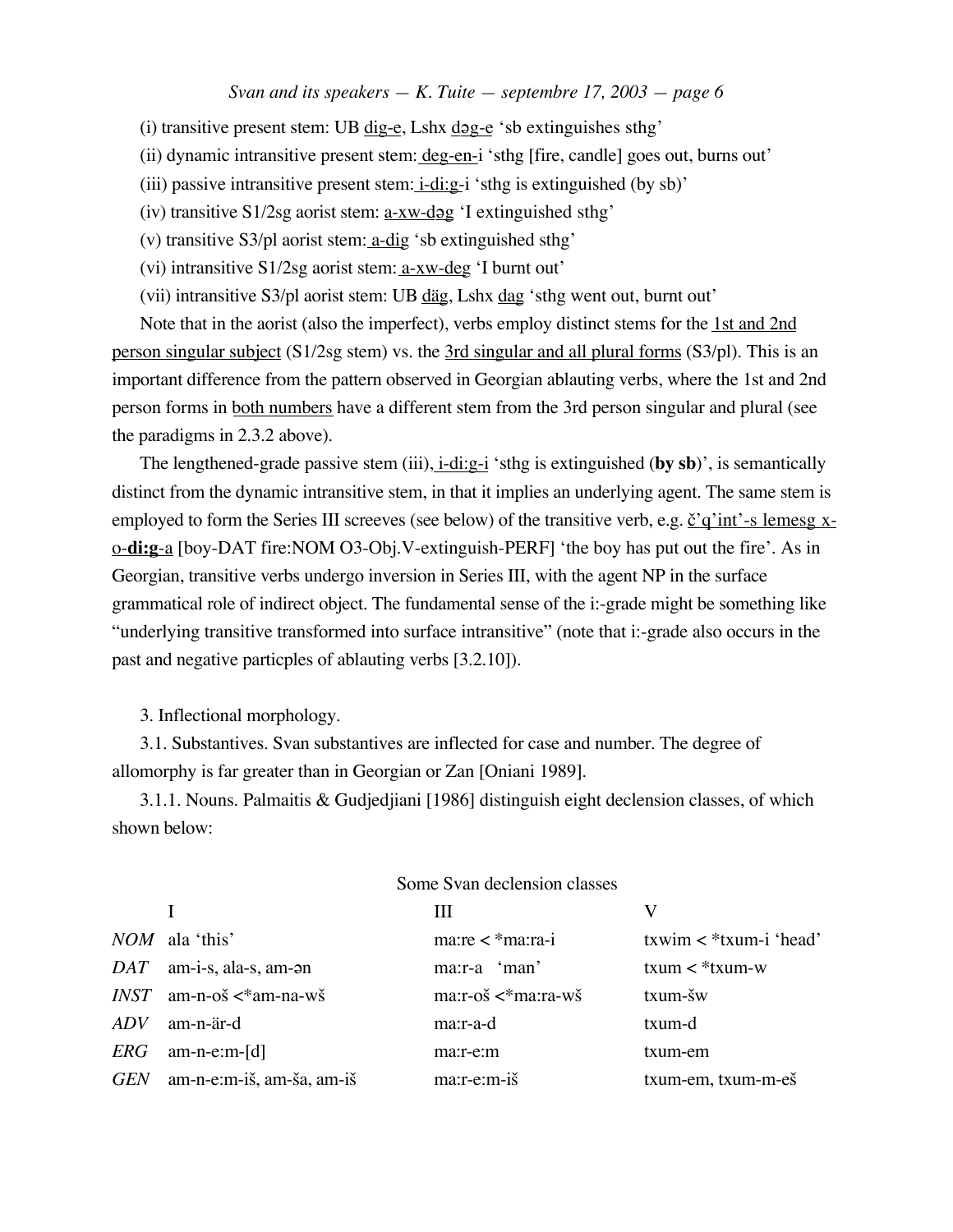(i) transitive present stem: UB  $\frac{dig}{eg}$ , Lshx  $\frac{dog}{eg}$  'sb extinguishes sthg'

(ii) dynamic intransitive present stem: deg-en-i 'sthg [fire, candle] goes out, burns out'

(iii) passive intransitive present stem:  $i$ -di:g-i 'sthg is extinguished (by sb)'

(iv) transitive  $S1/2sg$  aorist stem:  $a-xw-dgg$  'I extinguished sthg'

(v) transitive S3/pl aorist stem: a-dig 'sb extinguished sthg'

(vi) intransitive S1/2sg aorist stem: a-xw-deg 'I burnt out'

(vii) intransitive S3/pl aorist stem: UB däg, Lshx dag 'sthg went out, burnt out'

Note that in the aorist (also the imperfect), verbs employ distinct stems for the 1st and 2nd person singular subject (S1/2sg stem) vs. the 3rd singular and all plural forms (S3/pl). This is an important difference from the pattern observed in Georgian ablauting verbs, where the 1st and 2nd person forms in both numbers have a different stem from the 3rd person singular and plural (see the paradigms in 2.3.2 above).

The lengthened-grade passive stem (iii), i-di:g-i 'sthg is extinguished (**by sb**)', is semantically distinct from the dynamic intransitive stem, in that it implies an underlying agent. The same stem is employed to form the Series III screeves (see below) of the transitive verb, e.g.  $\check{g}'$  of int'-s lemesg xo-**di:g**-a [boy-DAT fire:NOM O3-Obj.V-extinguish-PERF] 'the boy has put out the fire'. As in Georgian, transitive verbs undergo inversion in Series III, with the agent NP in the surface grammatical role of indirect object. The fundamental sense of the i:-grade might be something like "underlying transitive transformed into surface intransitive" (note that i:-grade also occurs in the past and negative particples of ablauting verbs [3.2.10]).

3. Inflectional morphology.

3.1. Substantives. Svan substantives are inflected for case and number. The degree of allomorphy is far greater than in Georgian or Zan [Oniani 1989].

3.1.1. Nouns. Palmaitis & Gudjedjiani [1986] distinguish eight declension classes, of which shown below:

|            |                                 | Ш                                          |                             |
|------------|---------------------------------|--------------------------------------------|-----------------------------|
|            | $NOM$ ala 'this'                | $maxre <$ *ma:ra-i                         | $txwin <$ * $txum-i$ 'head' |
| DAT        | am-i-s, ala-s, am-an            | $max: -a$ 'man'                            | $txum <$ * $txum$ - $w$     |
|            | $INST$ am-n-oš $\lt^*$ am-na-wš | $ma: r-o\check{s} \lt^* ma: ra-w\check{s}$ | $txum-\v s w$               |
| <b>ADV</b> | am-n-är-d                       | ma:r-a-d                                   | txum-d                      |
| ERG        | $am-n-e:m-[d]$                  | ma:r-e:m                                   | txum-em                     |
| <b>GEN</b> | am-n-e:m-iš, am-ša, am-iš       | $ma:r-e:m-i\tilde{s}$                      | txum-em, txum-m-eš          |

#### Some Svan declension classes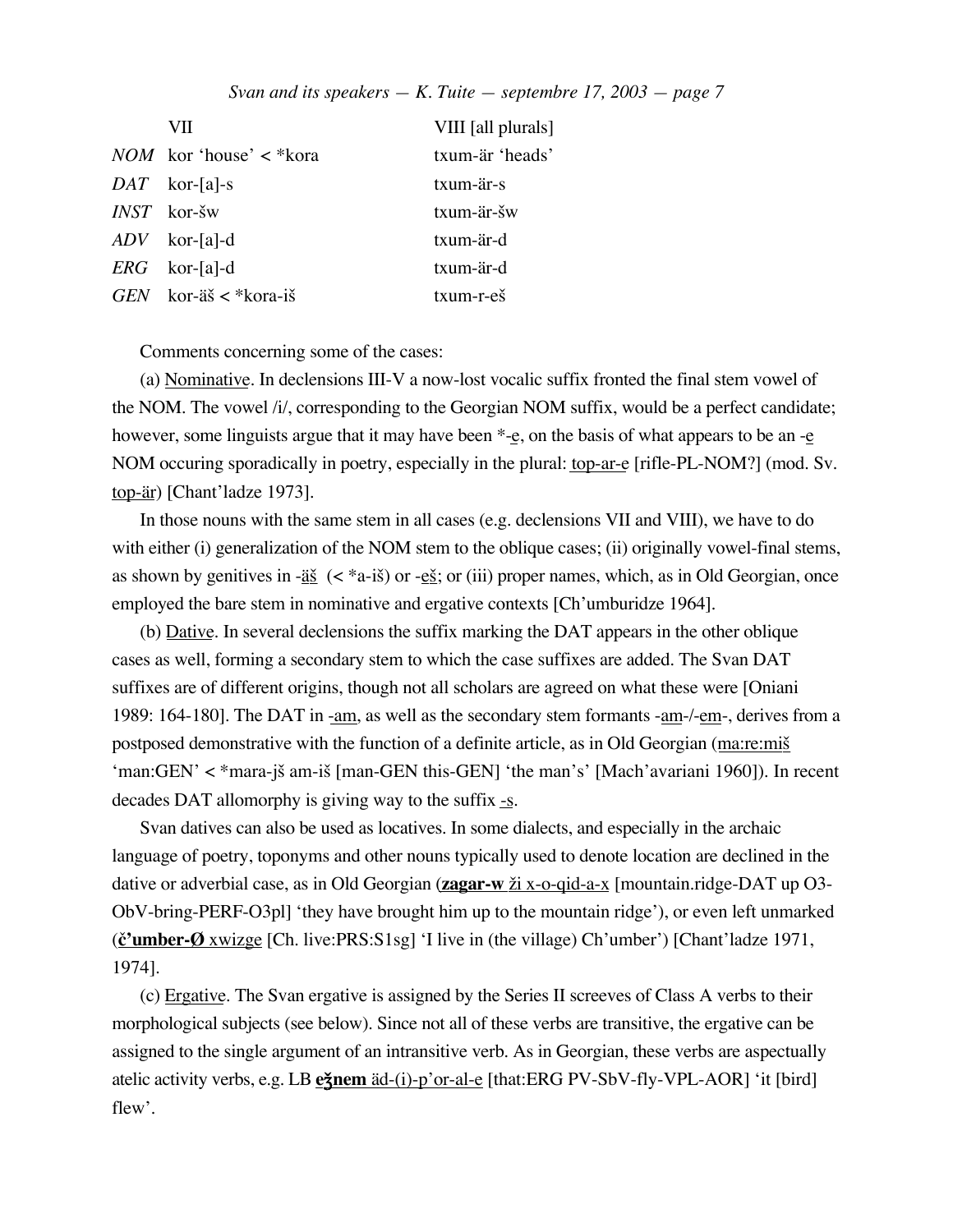|            | VП                                  | VIII [all plurals]  |
|------------|-------------------------------------|---------------------|
|            | <i>NOM</i> kor 'house' $\lt^*$ kora | txum-är 'heads'     |
|            | $DATA$ kor-[a]-s                    | txum-är-s           |
|            | $INST$ kor-šw                       | txum-är-šw          |
|            | $ADV$ kor-[a]-d                     | txum-är-d           |
|            | $ERG$ kor-[a]-d                     | txum-är-d           |
| <b>GEN</b> | kor-äš < *kora-iš                   | $txum-r-e\check{s}$ |

Comments concerning some of the cases:

(a) Nominative. In declensions III-V a now-lost vocalic suffix fronted the final stem vowel of the NOM. The vowel /i/, corresponding to the Georgian NOM suffix, would be a perfect candidate; however, some linguists argue that it may have been  $*_-e$ , on the basis of what appears to be an  $-e$ NOM occuring sporadically in poetry, especially in the plural: top-ar-e [rifle-PL-NOM?] (mod. Sv. top-är) [Chant'ladze 1973].

In those nouns with the same stem in all cases (e.g. declensions VII and VIII), we have to do with either (i) generalization of the NOM stem to the oblique cases; (ii) originally vowel-final stems, as shown by genitives in - $\underline{a}\underline{\xi}$  (< \*a-i $\xi$ ) or - $\underline{e}\underline{\xi}$ ; or (iii) proper names, which, as in Old Georgian, once employed the bare stem in nominative and ergative contexts [Ch'umburidze 1964].

(b) Dative. In several declensions the suffix marking the DAT appears in the other oblique cases as well, forming a secondary stem to which the case suffixes are added. The Svan DAT suffixes are of different origins, though not all scholars are agreed on what these were [Oniani 1989: 164-180]. The DAT in -am, as well as the secondary stem formants -am- $/$ -em-, derives from a postposed demonstrative with the function of a definite article, as in Old Georgian (ma:re:mi) 'man:GEN' < \*mara-j£ am-i£ [man-GEN this-GEN] 'the man's' [Mach'avariani 1960]). In recent decades DAT allomorphy is giving way to the suffix  $-\underline{s}$ .

Svan datives can also be used as locatives. In some dialects, and especially in the archaic language of poetry, toponyms and other nouns typically used to denote location are declined in the dative or adverbial case, as in Old Georgian (**zagar-w**  $\underline{\check{z}}$  x-o-qid-a-x [mountain.ridge-DAT up O3-ObV-bring-PERF-O3pl] 'they have brought him up to the mountain ridge'), or even left unmarked (**™ 'umber-Ø** xwizge [Ch. live:PRS:S1sg] 'I live in (the village) Ch'umber') [Chant'ladze 1971, 1974].

(c) Ergative. The Svan ergative is assigned by the Series II screeves of Class A verbs to their morphological subjects (see below). Since not all of these verbs are transitive, the ergative can be assigned to the single argument of an intransitive verb. As in Georgian, these verbs are aspectually atelic activity verbs, e.g. LB **e** inem äd-(i)-p'or-al-e [that:ERG PV-SbV-fly-VPL-AOR] 'it [bird] flew'.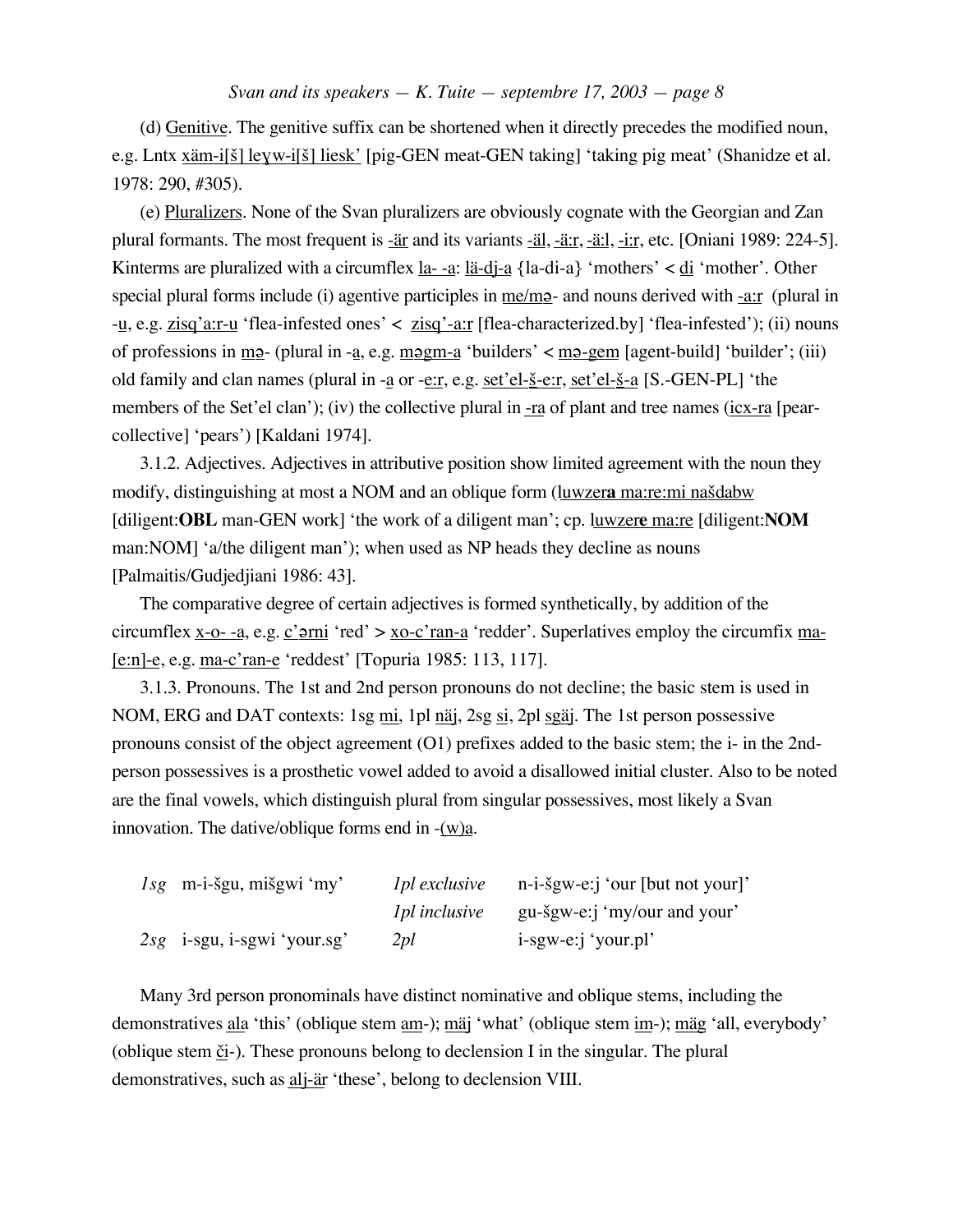(d) Genitive. The genitive suffix can be shortened when it directly precedes the modified noun, e.g. Lntx xäm-i[<u>š] leyw-i[š] liesk'</u> [pig-GEN meat-GEN taking] 'taking pig meat' (Shanidze et al. 1978: 290, #305).

(e) Pluralizers. None of the Svan pluralizers are obviously cognate with the Georgian and Zan plural formants. The most frequent is -är and its variants -äl, -ä:r, -ä:l, -i:r, etc. [Oniani 1989: 224-5]. Kinterms are pluralized with a circumflex  $\underline{a}$ -a:  $\underline{a}$ -di-a {la-di-a} 'mothers' <  $\underline{di}$  'mother'. Other special plural forms include (i) agentive participles in  $me/m<sub>2</sub>$  - and nouns derived with -a:r (plural in -u, e.g. zisq'a:r-u 'flea-infested ones' < zisq'-a:r [flea-characterized.by] 'flea-infested'); (ii) nouns of professions in m<sub>2</sub> - (plural in -a, e.g. m<sub>2</sub>gm-a 'builders' < m<sub>2</sub> -gem [agent-build] 'builder'; (iii) old family and clan names (plural in -a or -e:r, e.g. set'el- $\S$ -e:r, set'el- $\S$ -a [S.-GEN-PL] 'the members of the Set'el clan'); (iv) the collective plural in -ra of plant and tree names (icx-ra [pearcollective] 'pears') [Kaldani 1974].

3.1.2. Adjectives. Adjectives in attributive position show limited agreement with the noun they modify, distinguishing at most a NOM and an oblique form (luwzera ma:re:mi na<u>šdabw</u> [diligent:**OBL** man-GEN work] 'the work of a diligent man'; cp. luwzer**e** ma:re [diligent:**NOM** man:NOM] 'a/the diligent man'); when used as NP heads they decline as nouns [Palmaitis/Gudjedjiani 1986: 43].

The comparative degree of certain adjectives is formed synthetically, by addition of the circumflex x-o- -a, e.g.  $\frac{c'}{2}$  rni 'red' > xo-c'ran-a 'redder'. Superlatives employ the circumfix ma-[e:n]-e, e.g. ma-c'ran-e 'reddest' [Topuria 1985: 113, 117].

3.1.3. Pronouns. The 1st and 2nd person pronouns do not decline; the basic stem is used in NOM, ERG and DAT contexts: 1sg mi, 1pl näj, 2sg si, 2pl sgäj. The 1st person possessive pronouns consist of the object agreement (O1) prefixes added to the basic stem; the i- in the 2ndperson possessives is a prosthetic vowel added to avoid a disallowed initial cluster. Also to be noted are the final vowels, which distinguish plural from singular possessives, most likely a Svan innovation. The dative/oblique forms end in  $-(w)a$ .

| $lsg$ m-i-šgu, mišgwi 'my'    | <i>lpl</i> exclusive | $n-i-sgw-e:j'our [but not your]$ |
|-------------------------------|----------------------|----------------------------------|
|                               | <i>lpl</i> inclusive | gu-šgw-e:j 'my/our and your'     |
| $2sg$ i-sgu, i-sgwi 'your.sg' | 2 <i>pl</i>          | i-sgw-e:j 'your.pl'              |

Many 3rd person pronominals have distinct nominative and oblique stems, including the demonstratives ala 'this' (oblique stem am-); mäj 'what' (oblique stem im-); mäg 'all, everybody' (oblique stem  $či-$ ). These pronouns belong to declension I in the singular. The plural</u> demonstratives, such as alj-är 'these', belong to declension VIII.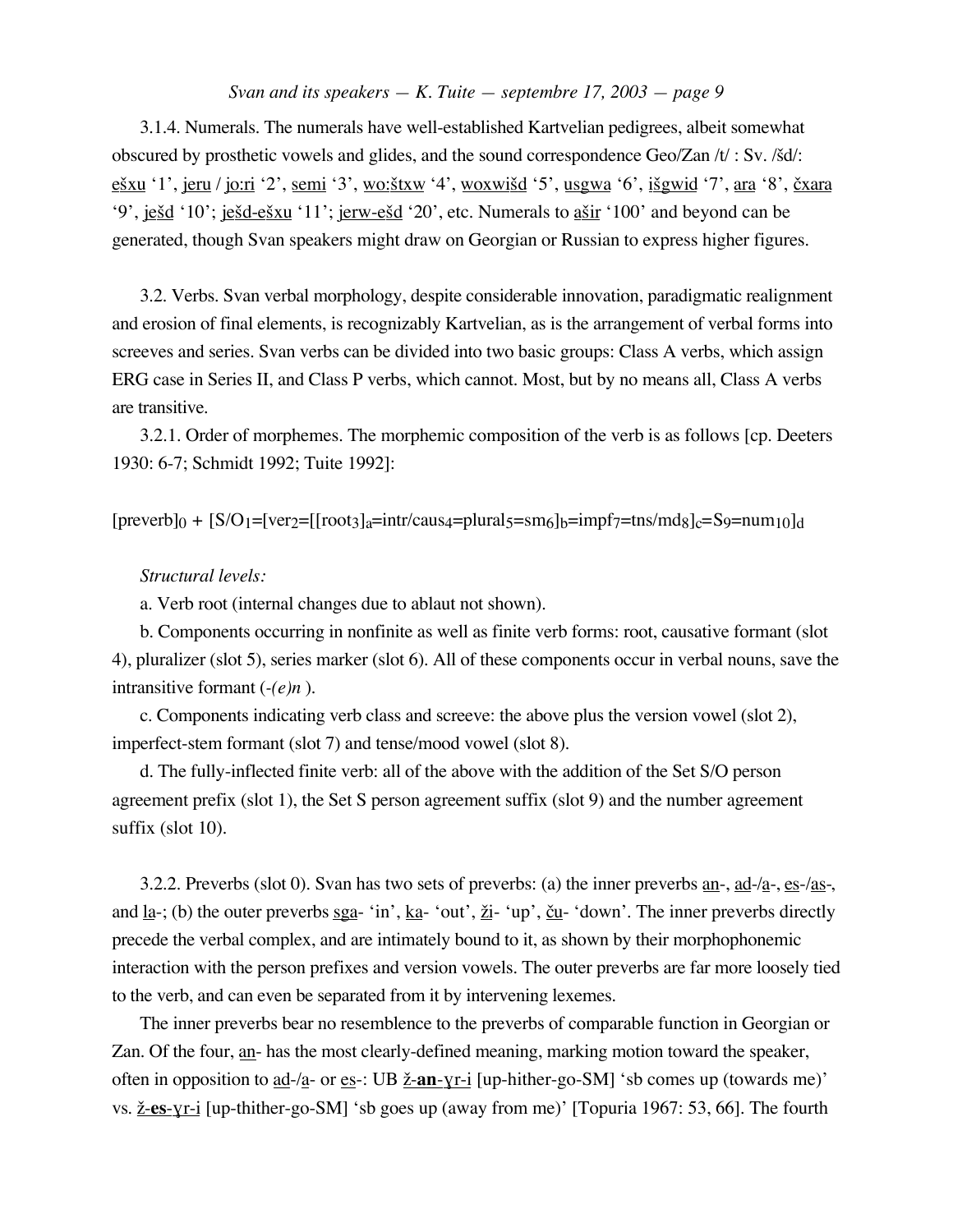3.1.4. Numerals. The numerals have well-established Kartvelian pedigrees, albeit somewhat obscured by prosthetic vowels and glides, and the sound correspondence Geo/Zan /t/: Sv. /šd/: ešxu '1', jeru / jo:ri '2', semi '3', wo: štxw '4', woxwišd '5', usgwa '6', išgwid '7', ara '8', čxara '9', je<u>šd</u> '10'; je<u>šd-ešxu</u> '11'; <u>jerw-ešd</u> '20', etc. Numerals to <u>ašir</u> '100' and beyond can be generated, though Svan speakers might draw on Georgian or Russian to express higher figures.

3.2. Verbs. Svan verbal morphology, despite considerable innovation, paradigmatic realignment and erosion of final elements, is recognizably Kartvelian, as is the arrangement of verbal forms into screeves and series. Svan verbs can be divided into two basic groups: Class A verbs, which assign ERG case in Series II, and Class P verbs, which cannot. Most, but by no means all, Class A verbs are transitive.

3.2.1. Order of morphemes. The morphemic composition of the verb is as follows [cp. Deeters 1930: 6-7; Schmidt 1992; Tuite 1992]:

 $[p \text{reverb}]_0 + [S/O_1=[\text{ver}_2=[\text{root}_3]_a=\text{intr/caus}_4=\text{plural}_5=\text{sm}_6]_b=\text{impf}_7=\text{tns}/\text{md}_8]_c=\text{S}_9=\text{num}_{10}]_d$ 

#### *Structural levels:*

a. Verb root (internal changes due to ablaut not shown).

b. Components occurring in nonfinite as well as finite verb forms: root, causative formant (slot 4), pluralizer (slot 5), series marker (slot 6). All of these components occur in verbal nouns, save the intransitive formant (*-(e)n* ).

c. Components indicating verb class and screeve: the above plus the version vowel (slot 2), imperfect-stem formant (slot 7) and tense/mood vowel (slot 8).

d. The fully-inflected finite verb: all of the above with the addition of the Set S/O person agreement prefix (slot 1), the Set S person agreement suffix (slot 9) and the number agreement suffix (slot 10).

3.2.2. Preverbs (slot 0). Svan has two sets of preverbs: (a) the inner preverbs  $\underline{an}$ ,  $\underline{ad}$ -/ $\underline{a}$ -,  $\underline{es}$ -/ $\underline{as}$ -, and <u>la</u>-; (b) the outer preverbs sga- 'in',  $k a$ - 'out',  $\underline{\chi} i$ - 'up',  $\underline{\zeta} u$ - 'down'. The inner preverbs directly precede the verbal complex, and are intimately bound to it, as shown by their morphophonemic interaction with the person prefixes and version vowels. The outer preverbs are far more loosely tied to the verb, and can even be separated from it by intervening lexemes.

The inner preverbs bear no resemblence to the preverbs of comparable function in Georgian or Zan. Of the four, an- has the most clearly-defined meaning, marking motion toward the speaker, often in opposition to <u>ad-/a</u>- or <u>es</u>-: UB <u>ž-an-yr-i</u> [up-hither-go-SM] 'sb comes up (towards me)' vs. ¢ -**es**-ƒ r-i [up-thither-go-SM] 'sb goes up (away from me)' [Topuria 1967: 53, 66]. The fourth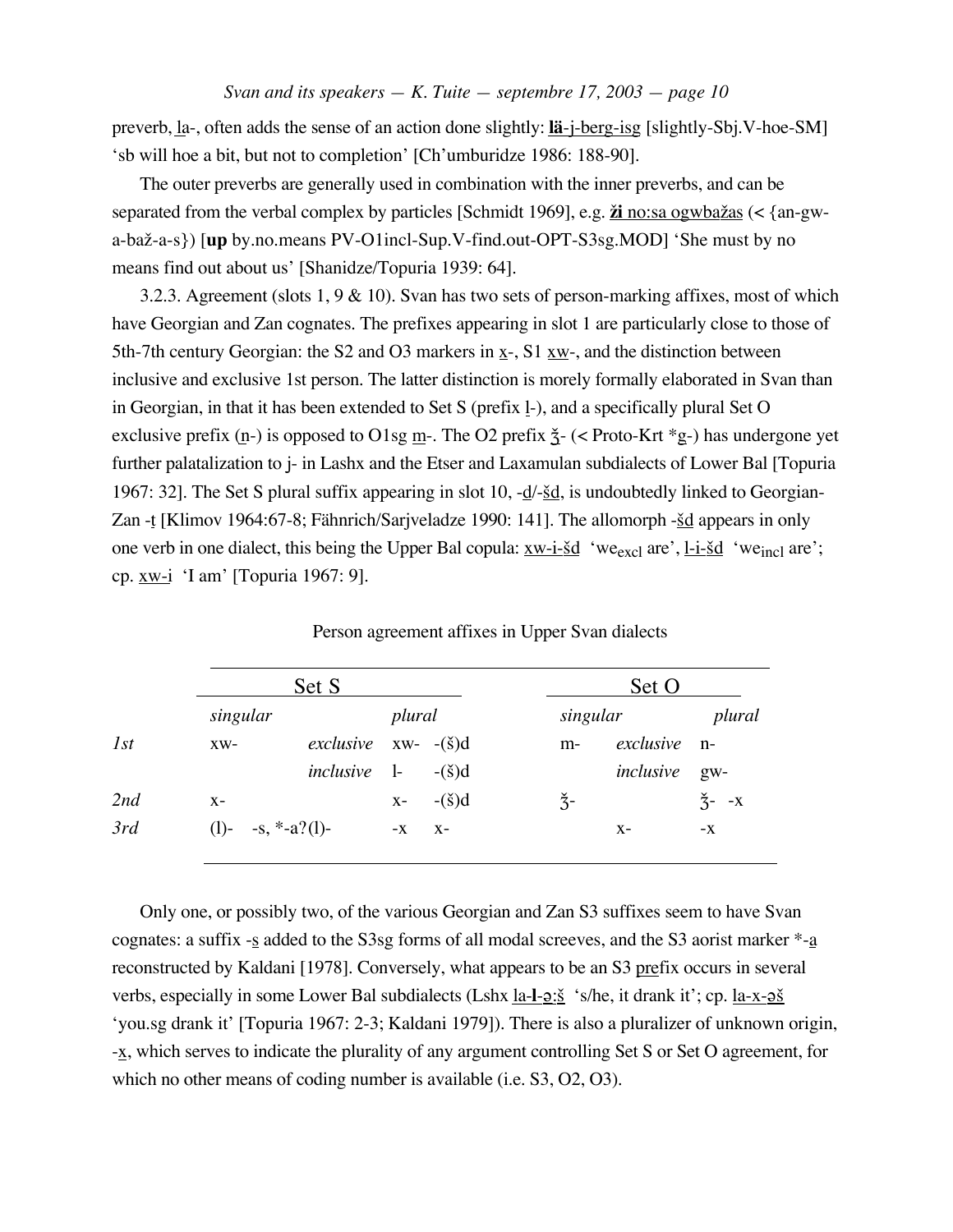preverb, la-, often adds the sense of an action done slightly: **lä**-j-berg-isg [slightly-Sbj.V-hoe-SM] 'sb will hoe a bit, but not to completion' [Ch'umburidze 1986: 188-90].

The outer preverbs are generally used in combination with the inner preverbs, and can be separated from the verbal complex by particles [Schmidt 1969], e.g.  $\underline{\mathbf{\check{z}}}$  no:sa ogwba $\underline{\mathbf{\check{z}}}$ as (< {an-gwa-ba¢-a-s}) [**up** by.no.means PV-O1incl-Sup.V-find.out-OPT-S3sg.MOD] 'She must by no means find out about us' [Shanidze/Topuria 1939: 64].

3.2.3. Agreement (slots 1, 9 & 10). Svan has two sets of person-marking affixes, most of which have Georgian and Zan cognates. The prefixes appearing in slot 1 are particularly close to those of 5th-7th century Georgian: the S2 and O3 markers in x-, S1 xw-, and the distinction between inclusive and exclusive 1st person. The latter distinction is morely formally elaborated in Svan than in Georgian, in that it has been extended to Set S (prefix 1-), and a specifically plural Set O exclusive prefix  $(n-)$  is opposed to O1sg  $\underline{m}$ . The O2 prefix  $\ddot{\underline{\zeta}}$ - (< Proto-Krt \*g-) has undergone yet further palatalization to j- in Lashx and the Etser and Laxamulan subdialects of Lower Bal [Topuria 1967: 32]. The Set S plural suffix appearing in slot 10,  $-d/\text{-} \underline{\text{Sd}}$ , is undoubtedly linked to Georgian-Zan -t [Klimov 1964:67-8; Fähnrich/Sarjveladze 1990: 141]. The allomorph - $\underline{\text{Sd}}$  appears in only one verb in one dialect, this being the Upper Bal copula:  $xw-i-\underline{\delta}d$  'we<sub>excl</sub> are', l-i- $\underline{\delta}d$  'we<sub>incl</sub> are'; cp. xw-i 'I am' [Topuria 1967: 9].

|     |                      | Set S                        |         | Set O           |               |              |                  |
|-----|----------------------|------------------------------|---------|-----------------|---------------|--------------|------------------|
|     | singular             |                              | plural  |                 | singular      |              | plural           |
| 1st | $XW-$                | exclusive $xw-(-\check{s})d$ |         |                 | $m-$          | exclusive n- |                  |
|     |                      | <i>inclusive</i> 1-          |         | $-(\check{s})d$ |               | inclusive    | $g_{W}$          |
| 2nd | $X -$                |                              | $X-$    | $-(\check{s})d$ | $\check{3}$ - |              | $\check{Z}$ - -X |
| 3rd | (1)- $-s, *-a?(1)$ - |                              | $-X$ X- |                 |               | $X-$         | $-X$             |

Person agreement affixes in Upper Svan dialects

Only one, or possibly two, of the various Georgian and Zan S3 suffixes seem to have Svan cognates: a suffix  $-$ s added to the S3sg forms of all modal screeves, and the S3 aorist marker  $*$ - $a$ reconstructed by Kaldani [1978]. Conversely, what appears to be an S3 prefix occurs in several verbs, especially in some Lower Bal subdialects (Lshx <u>la-l- $2:\underline{\check{S}}$ </u> 's/he, it drank it'; cp. la-x- $2\underline{\check{S}}$ 'you.sg drank it' [Topuria 1967: 2-3; Kaldani 1979]). There is also a pluralizer of unknown origin, -x, which serves to indicate the plurality of any argument controlling Set S or Set O agreement, for which no other means of coding number is available (i.e. S3, O2, O3).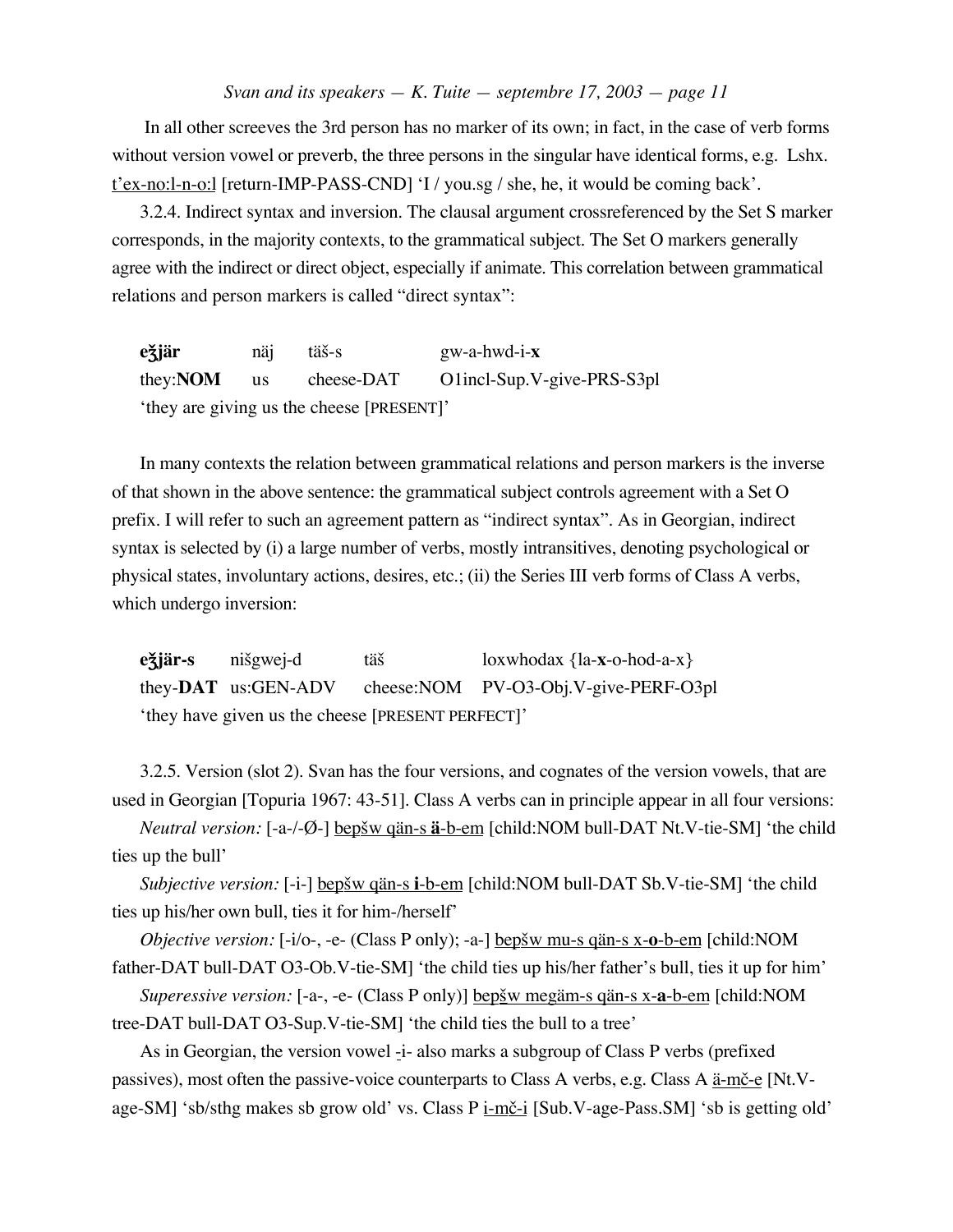In all other screeves the 3rd person has no marker of its own; in fact, in the case of verb forms without version vowel or preverb, the three persons in the singular have identical forms, e.g. Lshx.  $t$ 'ex-no:l-n-o:l [return-IMP-PASS-CND] 'I / you.sg / she, he, it would be coming back'.

3.2.4. Indirect syntax and inversion. The clausal argument crossreferenced by the Set S marker corresponds, in the majority contexts, to the grammatical subject. The Set O markers generally agree with the indirect or direct object, especially if animate. This correlation between grammatical relations and person markers is called "direct syntax":

**e** $\dot{\mathbf{z}}$ **jär** näj täš-s gw-a-hwd-i-**x** they:**NOM** us cheese-DAT O1incl-Sup.V-give-PRS-S3pl 'they are giving us the cheese [PRESENT]'

In many contexts the relation between grammatical relations and person markers is the inverse of that shown in the above sentence: the grammatical subject controls agreement with a Set O prefix. I will refer to such an agreement pattern as "indirect syntax". As in Georgian, indirect syntax is selected by (i) a large number of verbs, mostly intransitives, denoting psychological or physical states, involuntary actions, desires, etc.; (ii) the Series III verb forms of Class A verbs, which undergo inversion:

 $e\ddot{\theta}$ **jär-s** nišgwej-d täš loxwhodax {la-**x**-o-hod-a-x} they-**DAT** us:GEN-ADV cheese:NOM PV-O3-Obj.V-give-PERF-O3pl 'they have given us the cheese [PRESENT PERFECT]'

3.2.5. Version (slot 2). Svan has the four versions, and cognates of the version vowels, that are used in Georgian [Topuria 1967: 43-51]. Class A verbs can in principle appear in all four versions:

*Neutral version:* [-a-/-Ø-] <u>bepšw qän-s **ä**-b-em</u> [child:NOM bull-DAT Nt.V-tie-SM] 'the child ties up the bull'

*Subjective version:* [-i-] <u>bepšw qän-s i-b-em</u> [child:NOM bull-DAT Sb.V-tie-SM] 'the child ties up his/her own bull, ties it for him-/herself'

*Objective version:* [-i/o-, -e- (Class P only); -a-] bep<u>šw mu-s qän-s x-o-b-em</u> [child:NOM father-DAT bull-DAT O3-Ob.V-tie-SM] 'the child ties up his/her father's bull, ties it up for him'

*Superessive version:* [-a-, -e- (Class P only)] bep£ w megäm-s qän-s x-**a**-b-em [child:NOM tree-DAT bull-DAT O3-Sup.V-tie-SM] 'the child ties the bull to a tree'

As in Georgian, the version vowel -i- also marks a subgroup of Class P verbs (prefixed passives), most often the passive-voice counterparts to Class A verbs, e.g. Class A  $\frac{a-m\check{c}-e}{c}$  [Nt.Vage-SM] 'sb/sthg makes sb grow old' vs. Class P  $\underline{i \cdot m\check{c}}$ -i [Sub.V-age-Pass.SM] 'sb is getting old'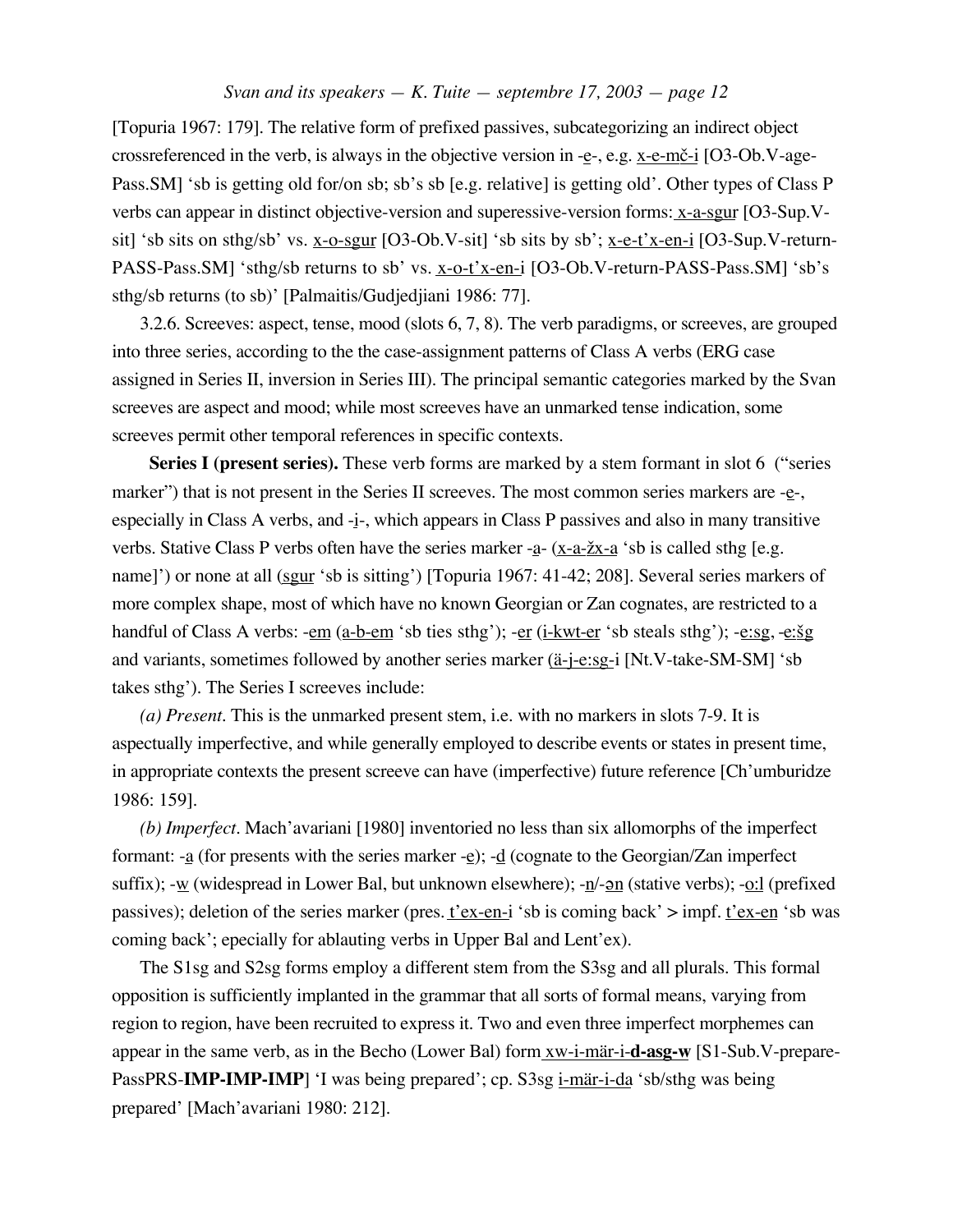[Topuria 1967: 179]. The relative form of prefixed passives, subcategorizing an indirect object crossreferenced in the verb, is always in the objective version in -e-, e.g.  $x$ -e-m $\check{e}$ -i [O3-Ob.V-age-Pass.SM] 'sb is getting old for/on sb; sb's sb [e.g. relative] is getting old'. Other types of Class P verbs can appear in distinct objective-version and superessive-version forms: x-a-sgur [O3-Sup.Vsit] 'sb sits on sthg/sb' vs. x-o-sgur [O3-Ob.V-sit] 'sb sits by sb'; x-e-t'x-en-i [O3-Sup.V-return-PASS-Pass.SM] 'sthg/sb returns to sb' vs. x-o-t'x-en-i [O3-Ob.V-return-PASS-Pass.SM] 'sb's sthg/sb returns (to sb)' [Palmaitis/Gudjedjiani 1986: 77].

3.2.6. Screeves: aspect, tense, mood (slots 6, 7, 8). The verb paradigms, or screeves, are grouped into three series, according to the the case-assignment patterns of Class A verbs (ERG case assigned in Series II, inversion in Series III). The principal semantic categories marked by the Svan screeves are aspect and mood; while most screeves have an unmarked tense indication, some screeves permit other temporal references in specific contexts.

**Series I (present series).** These verb forms are marked by a stem formant in slot 6 ("series") marker") that is not present in the Series II screeves. The most common series markers are  $-e$ -, especially in Class A verbs, and -i-, which appears in Class P passives and also in many transitive verbs. Stative Class P verbs often have the series marker -a- (x-a- $\chi$ x-a 'sb is called sthg [e.g. name]') or none at all (sgur 'sb is sitting') [Topuria 1967: 41-42; 208]. Several series markers of more complex shape, most of which have no known Georgian or Zan cognates, are restricted to a handful of Class A verbs: - $em$  (a-b-em 'sb ties sthg'); - $er$  (i-kwt-er 'sb steals sthg'); - $e:sg, -e:sg$ and variants, sometimes followed by another series marker (ä-j-e:sg-i [Nt.V-take-SM-SM] 'sb takes sthg'). The Series I screeves include:

*(a) Present.* This is the unmarked present stem, i.e. with no markers in slots 7-9. It is aspectually imperfective, and while generally employed to describe events or states in present time, in appropriate contexts the present screeve can have (imperfective) future reference [Ch'umburidze 1986: 159].

*(b) Imperfect.* Mach'avariani [1980] inventoried no less than six allomorphs of the imperfect formant: -a (for presents with the series marker -e); -d (cognate to the Georgian/Zan imperfect suffix);  $-w$  (widespread in Lower Bal, but unknown elsewhere);  $-n/-$  (stative verbs);  $-o:$  (prefixed passives); deletion of the series marker (pres.  $t'ex-en-i$  'sb is coming back' > impf.  $t'ex-en$  'sb was coming back'; epecially for ablauting verbs in Upper Bal and Lent'ex).

The S1sg and S2sg forms employ a different stem from the S3sg and all plurals. This formal opposition is sufficiently implanted in the grammar that all sorts of formal means, varying from region to region, have been recruited to express it. Two and even three imperfect morphemes can appear in the same verb, as in the Becho (Lower Bal) form xw-i-mär-i-**d-asg-w** [S1-Sub.V-prepare-PassPRS-**IMP-IMP-IMP**] 'I was being prepared'; cp. S3sg i-mär-i-da 'sb/sthg was being prepared' [Mach'avariani 1980: 212].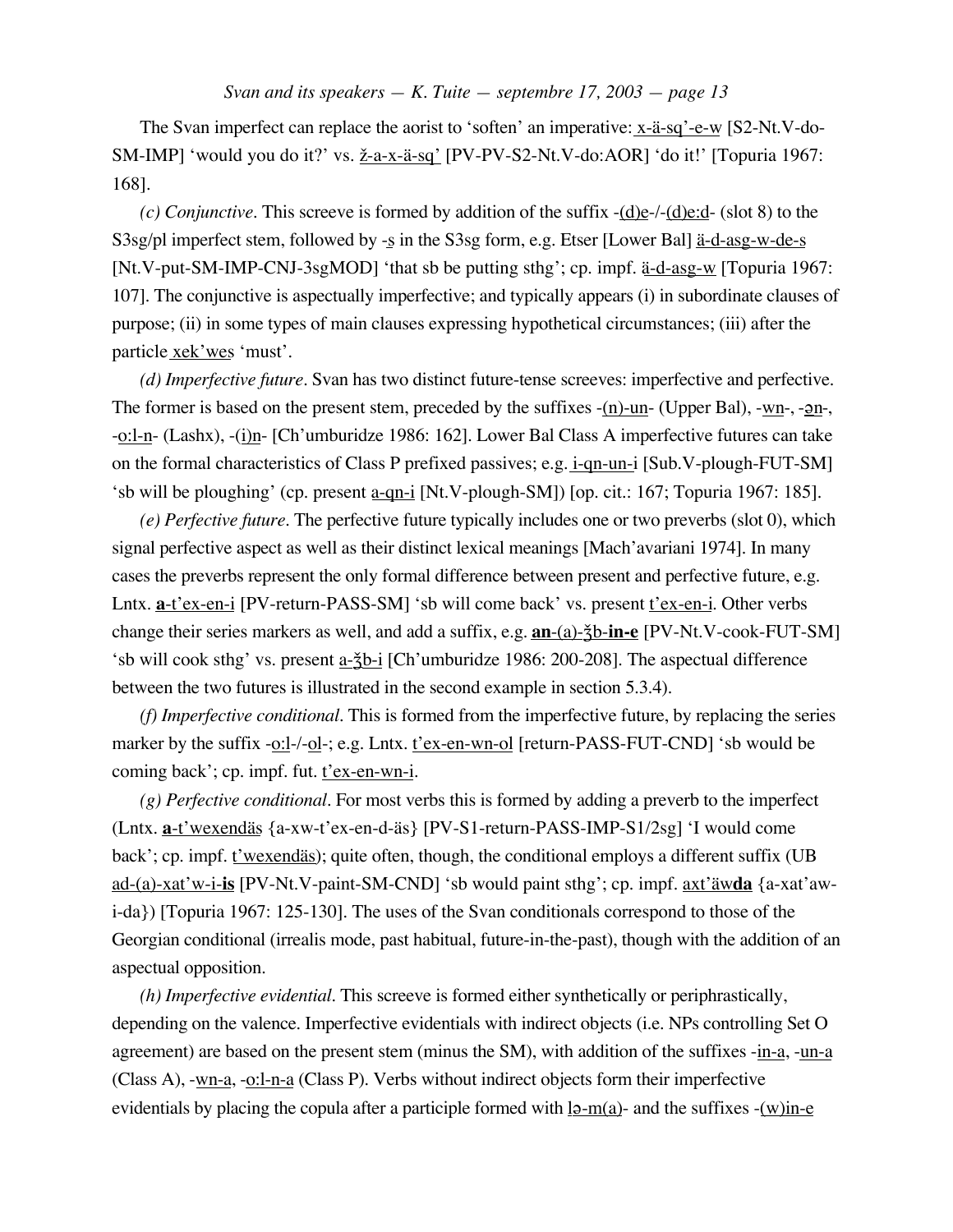The Svan imperfect can replace the aorist to 'soften' an imperative: x-ä-sq'-e-w [S2-Nt.V-do-SM-IMP] 'would you do it?' vs.  $\underline{\check{z}}$ -a-x-ä-sq' [PV-PV-S2-Nt.V-do:AOR] 'do it!' [Topuria 1967: 168].

*(c) Conjunctive.* This screeve is formed by addition of the suffix -(d)e-/-(d)e:d- (slot 8) to the S3sg/pl imperfect stem, followed by -s in the S3sg form, e.g. Etser [Lower Bal] ä-d-asg-w-de-s [Nt.V-put-SM-IMP-CNJ-3sgMOD] 'that sb be putting sthg'; cp. impf. ä-d-asg-w [Topuria 1967: 107]. The conjunctive is aspectually imperfective; and typically appears (i) in subordinate clauses of purpose; (ii) in some types of main clauses expressing hypothetical circumstances; (iii) after the particle xek'wes 'must'.

*(d) Imperfective future.* Svan has two distinct future-tense screeves: imperfective and perfective. The former is based on the present stem, preceded by the suffixes  $-(n)$ -un- (Upper Bal), -wn-, - $\mathbf{a}$ n-, -o:l-n- (Lashx), -(i)n- [Ch'umburidze 1986: 162]. Lower Bal Class A imperfective futures can take on the formal characteristics of Class P prefixed passives; e.g. i-qn-un-i [Sub.V-plough-FUT-SM] 'sb will be ploughing' (cp. present a-qn-i [Nt.V-plough-SM]) [op. cit.: 167; Topuria 1967: 185].

*(e) Perfective future.* The perfective future typically includes one or two preverbs (slot 0), which signal perfective aspect as well as their distinct lexical meanings [Mach'avariani 1974]. In many cases the preverbs represent the only formal difference between present and perfective future, e.g. Lntx. **<u>a-t'ex-en-i</u>** [PV-return-PASS-SM] 'sb will come back' vs. present <u>t'ex-en-i</u>. Other verbs change their series markers as well, and add a suffix, e.g. **an**-(a)- $\frac{2}{3}b$ -in-e<sup>[PV-Nt.V-cook-FUT-SM]</sup> 'sb will cook sthg' vs. present a- $\S$ b-i [Ch'umburidze 1986: 200-208]. The aspectual difference between the two futures is illustrated in the second example in section 5.3.4).

*(f) Imperfective conditional.* This is formed from the imperfective future, by replacing the series marker by the suffix -o:l-/-ol-; e.g. Lntx. t'ex-en-wn-ol [return-PASS-FUT-CND] 'sb would be coming back'; cp. impf. fut. t'ex-en-wn-i.

*(g) Perfective conditional.* For most verbs this is formed by adding a preverb to the imperfect (Lntx. **a**-t'wexendäs {a-xw-t'ex-en-d-äs} [PV-S1-return-PASS-IMP-S1/2sg] 'I would come back'; cp. impf. t'wexendäs); quite often, though, the conditional employs a different suffix (UB ad-(a)-xat'w-i-**is** [PV-Nt.V-paint-SM-CND] 'sb would paint sthg'; cp. impf. axt'äw**da** {a-xat'awi-da}) [Topuria 1967: 125-130]. The uses of the Svan conditionals correspond to those of the Georgian conditional (irrealis mode, past habitual, future-in-the-past), though with the addition of an aspectual opposition.

*(h) Imperfective evidential.* This screeve is formed either synthetically or periphrastically, depending on the valence. Imperfective evidentials with indirect objects (i.e. NPs controlling Set O agreement) are based on the present stem (minus the SM), with addition of the suffixes -in-a, -un-a (Class A), -wn-a, -o:l-n-a (Class P). Verbs without indirect objects form their imperfective evidentials by placing the copula after a participle formed with  $12 - m(a)$ - and the suffixes -(w)in-e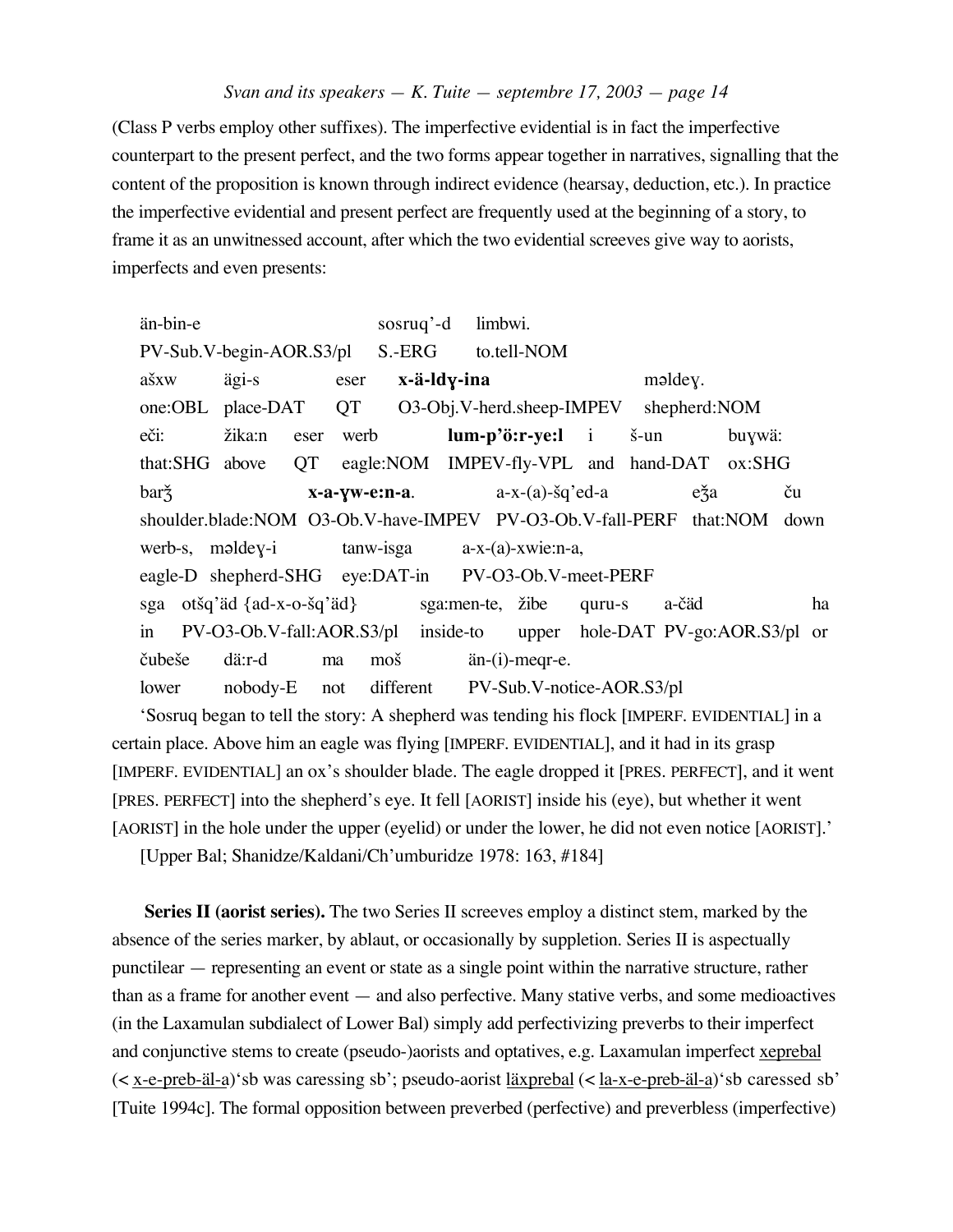(Class P verbs employ other suffixes). The imperfective evidential is in fact the imperfective counterpart to the present perfect, and the two forms appear together in narratives, signalling that the content of the proposition is known through indirect evidence (hearsay, deduction, etc.). In practice the imperfective evidential and present perfect are frequently used at the beginning of a story, to frame it as an unwitnessed account, after which the two evidential screeves give way to aorists, imperfects and even presents:

än-bin-e sosruq'-d limbwi. PV-Sub.V-begin-AOR.S3/pl S.-ERG to.tell-NOM ašxw ägi-s eser **x-ä-ldy-ina** məldey. one:OBL place-DAT QT O3-Obj.V-herd.sheep-IMPEV shepherd:NOM eči: žika:n eser werb **lum-p'ö:r-ye:l** i š-un buywä: that:SHG above QT eagle:NOM IMPEV-fly-VPL and hand-DAT ox:SHG barž**ch i startyw-e:n-a**. a-x-(a)-šq'ed-a eža ču shoulder.blade:NOM O3-Ob.V-have-IMPEV PV-O3-Ob.V-fall-PERF that:NOM down werb-s, maldey-i tanw-isga a-x-(a)-xwie:n-a, eagle-D shepherd-SHG eye:DAT-in PV-O3-Ob.V-meet-PERF sga otšq'äd {ad-x-o-šq'äd} sga:men-te, žibe quru-s a-čäd ha in PV-O3-Ob.V-fall:AOR.S3/pl inside-to upper hole-DAT PV-go:AOR.S3/pl or ™ube£e dä:r-d ma mo£ än-(i)-meqr-e. lower nobody-E not different PV-Sub.V-notice-AOR.S3/pl

'Sosruq began to tell the story: A shepherd was tending his flock [IMPERF. EVIDENTIAL] in a certain place. Above him an eagle was flying [IMPERF. EVIDENTIAL], and it had in its grasp [IMPERF. EVIDENTIAL] an ox's shoulder blade. The eagle dropped it [PRES. PERFECT], and it went [PRES. PERFECT] into the shepherd's eye. It fell [AORIST] inside his (eye), but whether it went [AORIST] in the hole under the upper (eyelid) or under the lower, he did not even notice [AORIST].'

[Upper Bal; Shanidze/Kaldani/Ch'umburidze 1978: 163, #184]

**Series II (aorist series).** The two Series II screeves employ a distinct stem, marked by the absence of the series marker, by ablaut, or occasionally by suppletion. Series II is aspectually punctilear — representing an event or state as a single point within the narrative structure, rather than as a frame for another event — and also perfective. Many stative verbs, and some medioactives (in the Laxamulan subdialect of Lower Bal) simply add perfectivizing preverbs to their imperfect and conjunctive stems to create (pseudo-)aorists and optatives, e.g. Laxamulan imperfect xeprebal (< x-e-preb-äl-a)'sb was caressing sb'; pseudo-aorist läxprebal (< la-x-e-preb-äl-a)'sb caressed sb' [Tuite 1994c]. The formal opposition between preverbed (perfective) and preverbless (imperfective)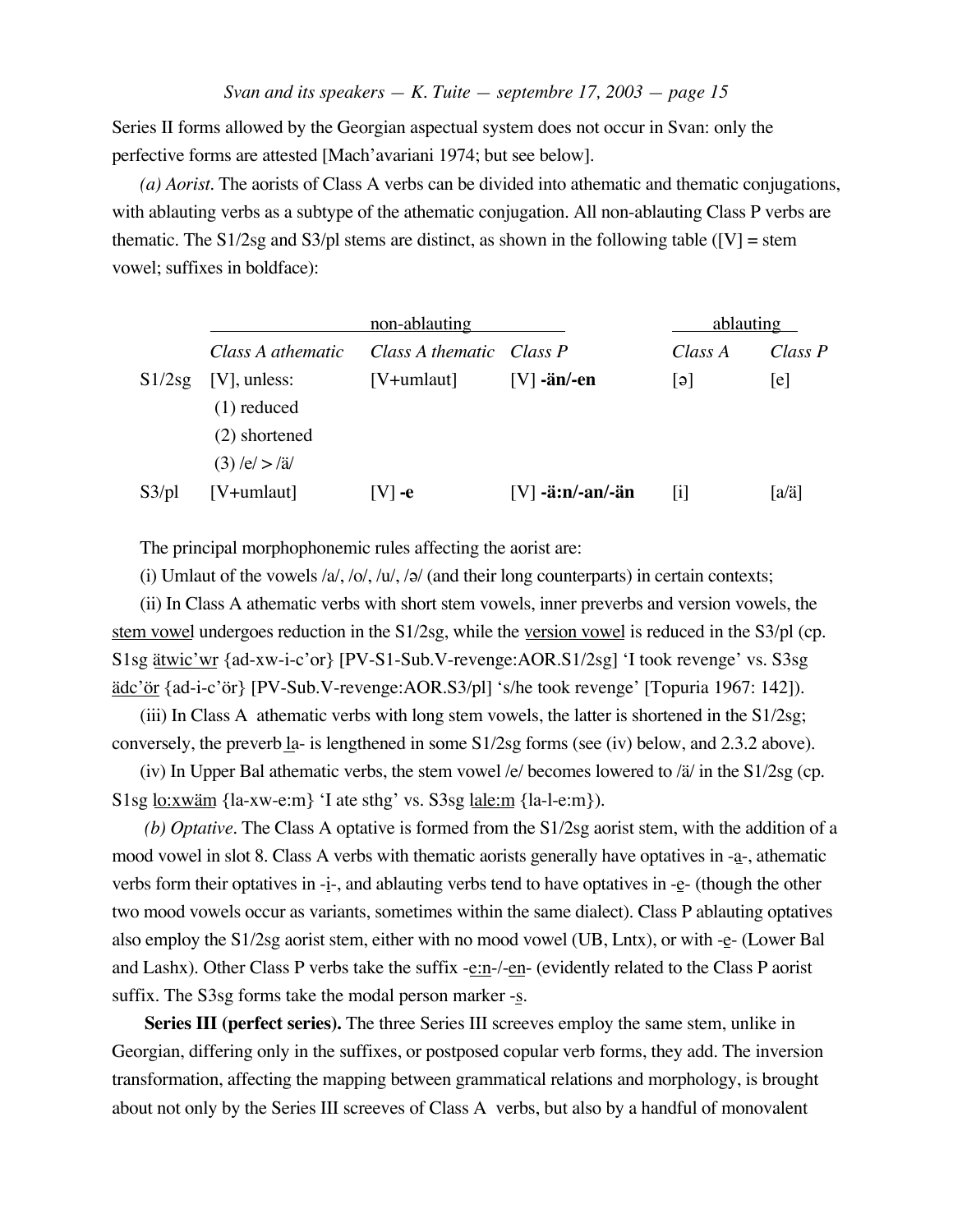Series II forms allowed by the Georgian aspectual system does not occur in Svan: only the perfective forms are attested [Mach'avariani 1974; but see below].

*(a) Aorist.* The aorists of Class A verbs can be divided into athematic and thematic conjugations, with ablauting verbs as a subtype of the athematic conjugation. All non-ablauting Class P verbs are thematic. The S1/2sg and S3/pl stems are distinct, as shown in the following table ( $[V]$  = stem vowel; suffixes in boldface):

|        |                   | non-ablauting            |                    | ablauting |         |  |
|--------|-------------------|--------------------------|--------------------|-----------|---------|--|
|        | Class A athematic | Class A thematic Class P |                    | Class A   | Class P |  |
| S1/2sg | $[V]$ , unless:   | $[V+umlaut]$             | $[V]$ -än/-en      | lə l      | e       |  |
|        | $(1)$ reduced     |                          |                    |           |         |  |
|        | (2) shortened     |                          |                    |           |         |  |
|        | $(3)$ /e/ $>$ /ä/ |                          |                    |           |         |  |
| S3/pl  | $[V+umlaut]$      | $ V $ -e                 | $[V]$ -ä:n/-an/-än | 1         | [a/ä]   |  |

The principal morphophonemic rules affecting the aorist are:

(i) Umlaut of the vowels  $/a/$ ,  $/o/$ ,  $/a/$ ,  $/a/$  (and their long counterparts) in certain contexts;

(ii) In Class A athematic verbs with short stem vowels, inner preverbs and version vowels, the stem vowel undergoes reduction in the S1/2sg, while the version vowel is reduced in the S3/pl (cp. S1sg ätwic'wr {ad-xw-i-c'or} [PV-S1-Sub.V-revenge:AOR.S1/2sg] 'I took revenge' vs. S3sg ädc'ör {ad-i-c'ör} [PV-Sub.V-revenge:AOR.S3/pl] 's/he took revenge' [Topuria 1967: 142]).

(iii) In Class A athematic verbs with long stem vowels, the latter is shortened in the S1/2sg; conversely, the preverb la- is lengthened in some S1/2sg forms (see (iv) below, and 2.3.2 above).

(iv) In Upper Bal athematic verbs, the stem vowel /e/ becomes lowered to /ä/ in the S1/2sg (cp. S1sg lo:xwäm {la-xw-e:m} 'I ate sthg' vs. S3sg lale:m {la-l-e:m}).

*(b) Optative.* The Class A optative is formed from the S1/2sg aorist stem, with the addition of a mood vowel in slot 8. Class A verbs with thematic aorists generally have optatives in -a-, athematic verbs form their optatives in -i-, and ablauting verbs tend to have optatives in -e- (though the other two mood vowels occur as variants, sometimes within the same dialect). Class P ablauting optatives also employ the S1/2sg aorist stem, either with no mood vowel (UB, Lntx), or with -e- (Lower Bal and Lashx). Other Class P verbs take the suffix -e:n-/-en- (evidently related to the Class P aorist suffix. The S3sg forms take the modal person marker  $-\underline{s}$ .

**Series III (perfect series).** The three Series III screeves employ the same stem, unlike in Georgian, differing only in the suffixes, or postposed copular verb forms, they add. The inversion transformation, affecting the mapping between grammatical relations and morphology, is brought about not only by the Series III screeves of Class A verbs, but also by a handful of monovalent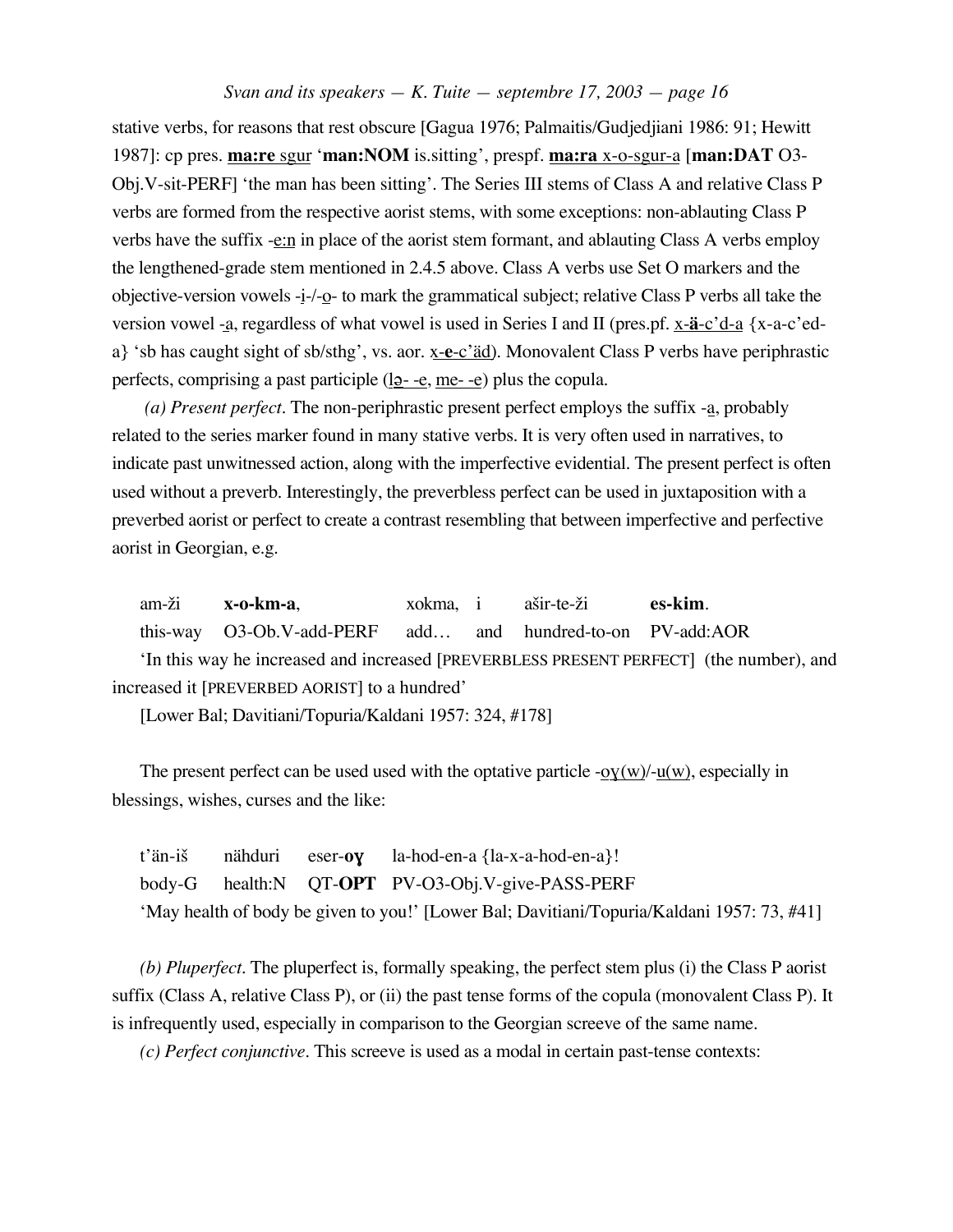stative verbs, for reasons that rest obscure [Gagua 1976; Palmaitis/Gudjedjiani 1986: 91; Hewitt 1987]: cp pres. **ma:re** sgur '**man:NOM** is.sitting', prespf. **ma:ra** x-o-sgur-a [**man:DAT** O3- Obj.V-sit-PERF] 'the man has been sitting'. The Series III stems of Class A and relative Class P verbs are formed from the respective aorist stems, with some exceptions: non-ablauting Class P verbs have the suffix -e:n in place of the aorist stem formant, and ablauting Class A verbs employ the lengthened-grade stem mentioned in 2.4.5 above. Class A verbs use Set O markers and the objective-version vowels -i-/-o- to mark the grammatical subject; relative Class P verbs all take the version vowel -a, regardless of what vowel is used in Series I and II (pres.pf. x-**ä**-c'd-a {x-a-c'eda} 'sb has caught sight of sb/sthg', vs. aor. x-**e**-c'äd). Monovalent Class P verbs have periphrastic perfects, comprising a past participle  $(\underline{19} - -e, \underline{me} - e)$  plus the copula.

*(a) Present perfect.* The non-periphrastic present perfect employs the suffix -a, probably related to the series marker found in many stative verbs. It is very often used in narratives, to indicate past unwitnessed action, along with the imperfective evidential. The present perfect is often used without a preverb. Interestingly, the preverbless perfect can be used in juxtaposition with a preverbed aorist or perfect to create a contrast resembling that between imperfective and perfective aorist in Georgian, e.g.

am-¢i **x-o-km-a**, xokma, i a£ir-te-¢i **es-kim**. this-way O3-Ob.V-add-PERF add… and hundred-to-on PV-add:AOR 'In this way he increased and increased [PREVERBLESS PRESENT PERFECT] (the number), and increased it [PREVERBED AORIST] to a hundred'

[Lower Bal; Davitiani/Topuria/Kaldani 1957: 324, #178]

The present perfect can be used used with the optative particle  $-oY(w)/u(w)$ , especially in blessings, wishes, curses and the like:

t'än-i£ nähduri eser-**o**ƒ la-hod-en-a {la-x-a-hod-en-a}! body-G health:N QT-**OPT** PV-O3-Obj.V-give-PASS-PERF 'May health of body be given to you!' [Lower Bal; Davitiani/Topuria/Kaldani 1957: 73, #41]

*(b) Pluperfect.* The pluperfect is, formally speaking, the perfect stem plus (i) the Class P aorist suffix (Class A, relative Class P), or (ii) the past tense forms of the copula (monovalent Class P). It is infrequently used, especially in comparison to the Georgian screeve of the same name.

*(c) Perfect conjunctive.* This screeve is used as a modal in certain past-tense contexts: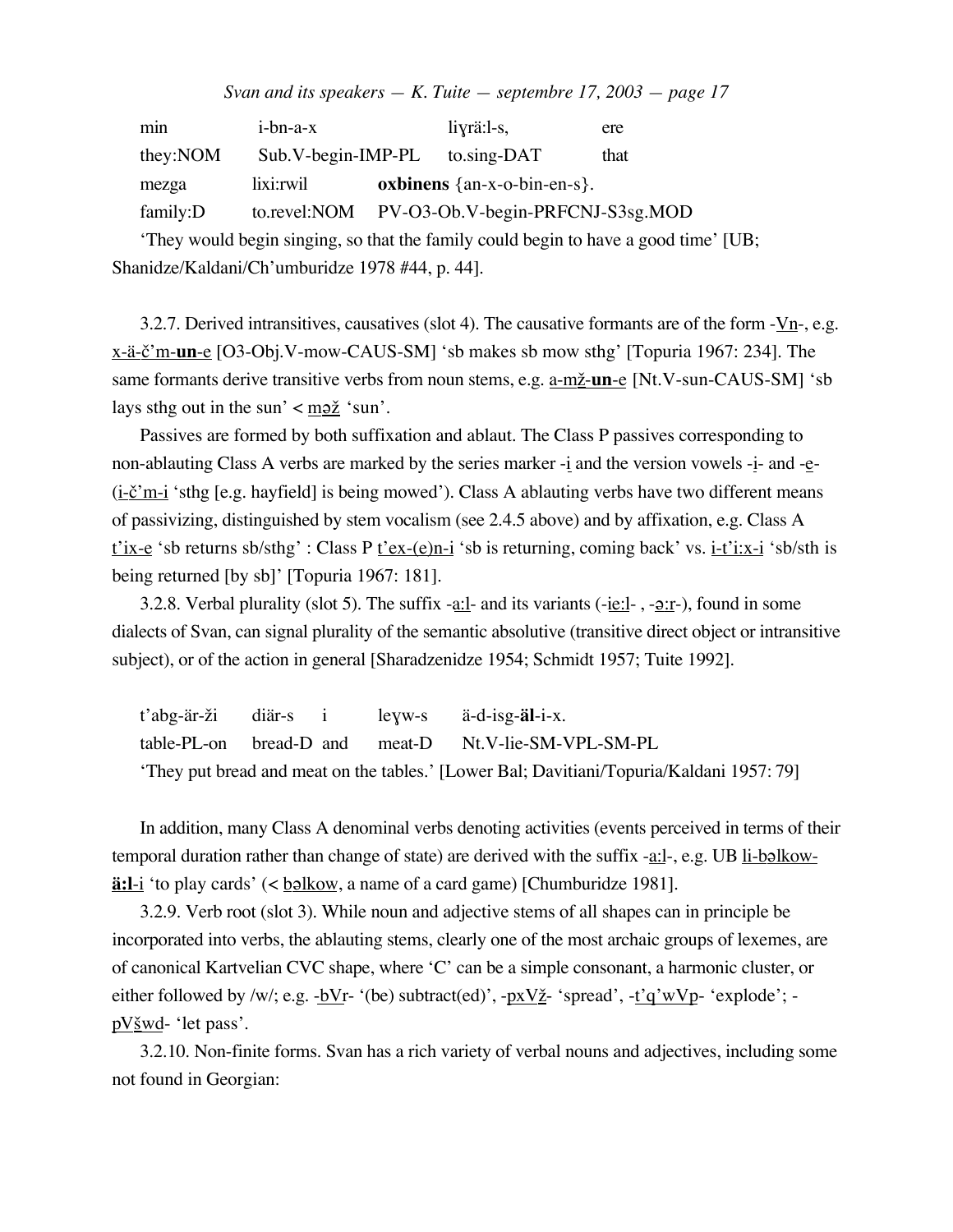| min      | $i$ -bn-a- $x$           | $liyri:1-s$ ,                                 | ere  |
|----------|--------------------------|-----------------------------------------------|------|
| they:NOM | $Sub.V-begin$ - $IMP-PL$ | to.sing-DAT                                   | that |
| mezga    | lixi:rwil                | <b>oxbinens</b> $\{an-x-o-bin-en-s\}$ .       |      |
| family:D |                          | to.revel:NOM PV-O3-Ob.V-begin-PRFCNJ-S3sg.MOD |      |

'They would begin singing, so that the family could begin to have a good time' [UB; Shanidze/Kaldani/Ch'umburidze 1978 #44, p. 44].

3.2.7. Derived intransitives, causatives (slot 4). The causative formants are of the form - $V_{n}$ -, e.g. x-ä- $\Sigma$ 'm-**un**-e [O3-Obj.V-mow-CAUS-SM] 'sb makes sb mow sthg' [Topuria 1967: 234]. The same formants derive transitive verbs from noun stems, e.g. a-mž-un-e [Nt.V-sun-CAUS-SM] 'sb lays sthg out in the sun'  $\langle \frac{mg\check{z}}{m} \rangle$  'sun'.

Passives are formed by both suffixation and ablaut. The Class P passives corresponding to non-ablauting Class A verbs are marked by the series marker  $-i$  and the version vowels  $-i$ - and  $-i$ - $(i-\underline{\check{c}}')m-i$  'sthg [e.g. hayfield] is being mowed'). Class A ablauting verbs have two different means of passivizing, distinguished by stem vocalism (see 2.4.5 above) and by affixation, e.g. Class A t'ix-e 'sb returns sb/sthg' : Class P t'ex-(e)n-i 'sb is returning, coming back' vs. i-t'i:x-i 'sb/sth is being returned [by sb]' [Topuria 1967: 181].

3.2.8. Verbal plurality (slot 5). The suffix -a:l- and its variants (-ie:l-, - $2:r-$ ), found in some</u> dialects of Svan, can signal plurality of the semantic absolutive (transitive direct object or intransitive subject), or of the action in general [Sharadzenidze 1954; Schmidt 1957; Tuite 1992].

|  |  | t'abg-är-ži diär-s i leyw-s ä-d-isg- <b>äl</b> -i-x.                                     |
|--|--|------------------------------------------------------------------------------------------|
|  |  | table-PL-on bread-D and meat-D Nt.V-lie-SM-VPL-SM-PL                                     |
|  |  | 'They put bread and meat on the tables.' [Lower Bal; Davitiani/Topuria/Kaldani 1957: 79] |

In addition, many Class A denominal verbs denoting activities (events perceived in terms of their temporal duration rather than change of state) are derived with the suffix -a:l-, e.g. UB li-b $\alpha$ lkow**ä:l**-i 'to play cards' (< <u>b**\** elkow</u>, a name of a card game) [Chumburidze 1981].

3.2.9. Verb root (slot 3). While noun and adjective stems of all shapes can in principle be incorporated into verbs, the ablauting stems, clearly one of the most archaic groups of lexemes, are of canonical Kartvelian CVC shape, where 'C' can be a simple consonant, a harmonic cluster, or either followed by /w/; e.g.  $-bVr-$  '(be) subtract(ed)',  $-pxV\tilde{z}$  'spread',  $-t'q'wVp-$  'explode'; pV<u>šwd</u>- 'let pass'.

3.2.10. Non-finite forms. Svan has a rich variety of verbal nouns and adjectives, including some not found in Georgian: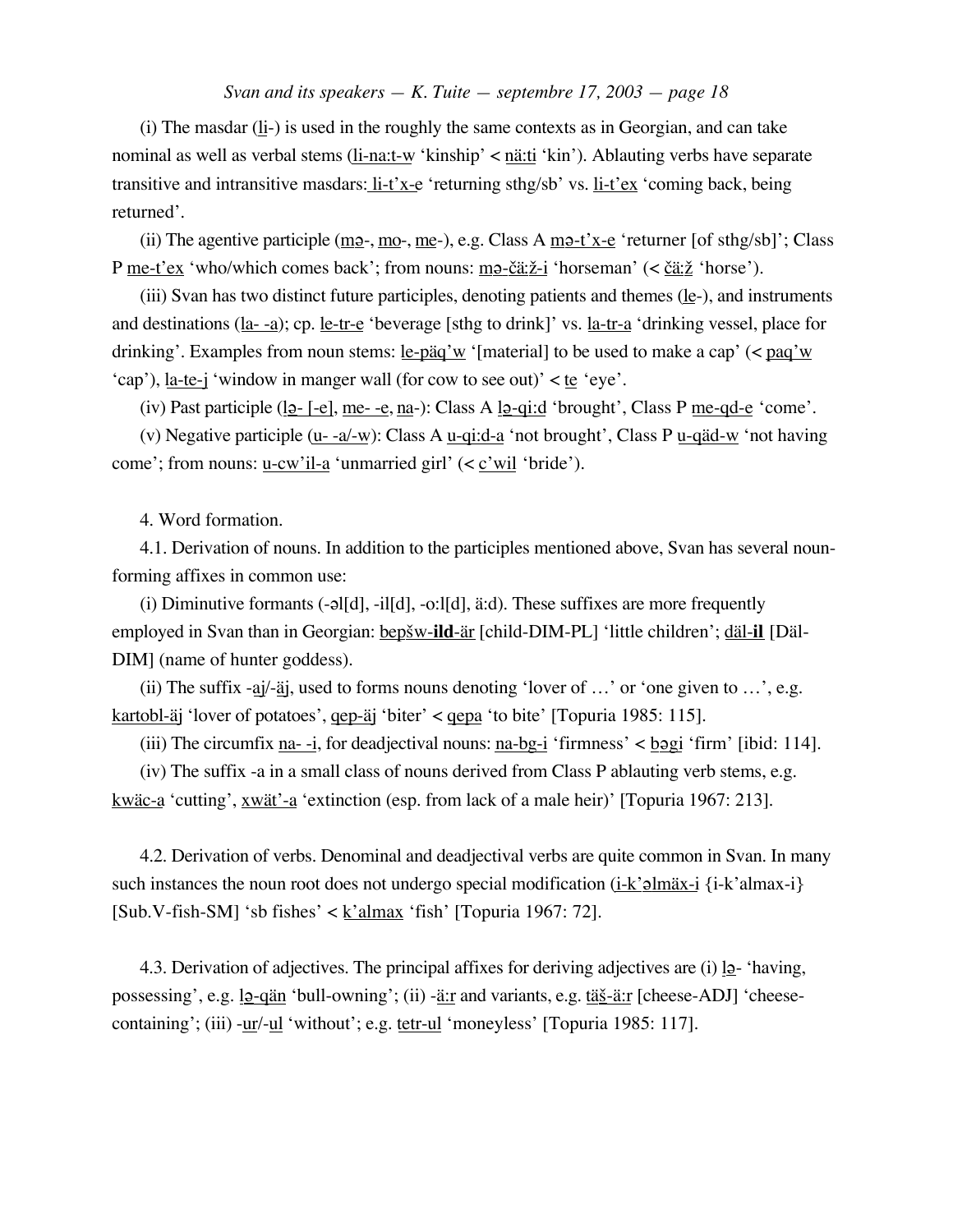(i) The masdar  $(l_i)$  is used in the roughly the same contexts as in Georgian, and can take nominal as well as verbal stems (li-na:t-w 'kinship' < nä:ti 'kin'). Ablauting verbs have separate transitive and intransitive masdars: li-t'x-e 'returning sthg/sb' vs. li-t'ex 'coming back, being returned'.

(ii) The agentive participle (m<sub>2</sub>-, mo-, me-), e.g. Class A m<sub>2</sub>-t'x-e 'returner [of sthg/sb]'; Class P me-t'ex 'who/which comes back'; from nouns: ma- $\tilde{\text{ca}}$ : $\tilde{z}$ -i 'horseman' (<  $\tilde{\text{ca}}$ : $\tilde{z}$  'horse').

(iii) Svan has two distinct future participles, denoting patients and themes  $(\underline{le}$ -), and instruments and destinations (la- -a); cp. le-tr-e 'beverage [sthg to drink]' vs. la-tr-a 'drinking vessel, place for drinking'. Examples from noun stems: le-päq'w '[material] to be used to make a cap' (< paq'w 'cap'), la-te-j 'window in manger wall (for cow to see out)' < te 'eye'.

(iv) Past participle  $(\underline{12} - [-e], \underline{me} - \underline{e}, \underline{na} -)$ : Class A  $\underline{12} - \underline{q} \underline{i} \underline{d}$  'brought', Class P <u>me-qd-e</u> 'come'.

(v) Negative participle  $(u - a/w)$ : Class A  $u$ -qi:d-a 'not brought', Class P  $u$ -qäd-w 'not having come'; from nouns: u-cw'il-a 'unmarried girl' (< c'wil 'bride').

4. Word formation.

4.1. Derivation of nouns. In addition to the participles mentioned above, Svan has several nounforming affixes in common use:

(i) Diminutive formants  $(-a|[d], -i|[d], -o:|[d], a:d)$ . These suffixes are more frequently employed in Svan than in Georgian: bep<u>šw-ild-är</u> [child-DIM-PL] 'little children'; däl-il [Däl-DIM] (name of hunter goddess).

(ii) The suffix -aj/-aj, used to forms nouns denoting 'lover of  $\ldots$ ' or 'one given to  $\ldots$ ', e.g. kartobl-äj 'lover of potatoes', qep-äj 'biter' < qepa 'to bite' [Topuria 1985: 115].

(iii) The circumfix  $\underline{n}a$ --i, for deadjectival nouns:  $\underline{n}a$ -bg-i 'firmness' < bggi 'firm' [ibid: 114].

(iv) The suffix -a in a small class of nouns derived from Class P ablauting verb stems, e.g. kwäc-a 'cutting', xwät'-a 'extinction (esp. from lack of a male heir)' [Topuria 1967: 213].

4.2. Derivation of verbs. Denominal and deadjectival verbs are quite common in Svan. In many such instances the noun root does not undergo special modification (i-k' $\partial$ lmäx-i {i-k'almax-i}  $[Sub.V-fish-SM]$  'sb fishes' < <u>k'almax</u> 'fish' [Topuria 1967: 72].

4.3. Derivation of adjectives. The principal affixes for deriving adjectives are (i)  $l$  - 'having, possessing', e.g.  $12$ -qän 'bull-owning'; (ii) -<u>ä:r</u> and variants, e.g. tä $\frac{3}{2}$ -ä:r [cheese-ADJ] 'cheesecontaining'; (iii) -ur/-ul 'without'; e.g. tetr-ul 'moneyless' [Topuria 1985: 117].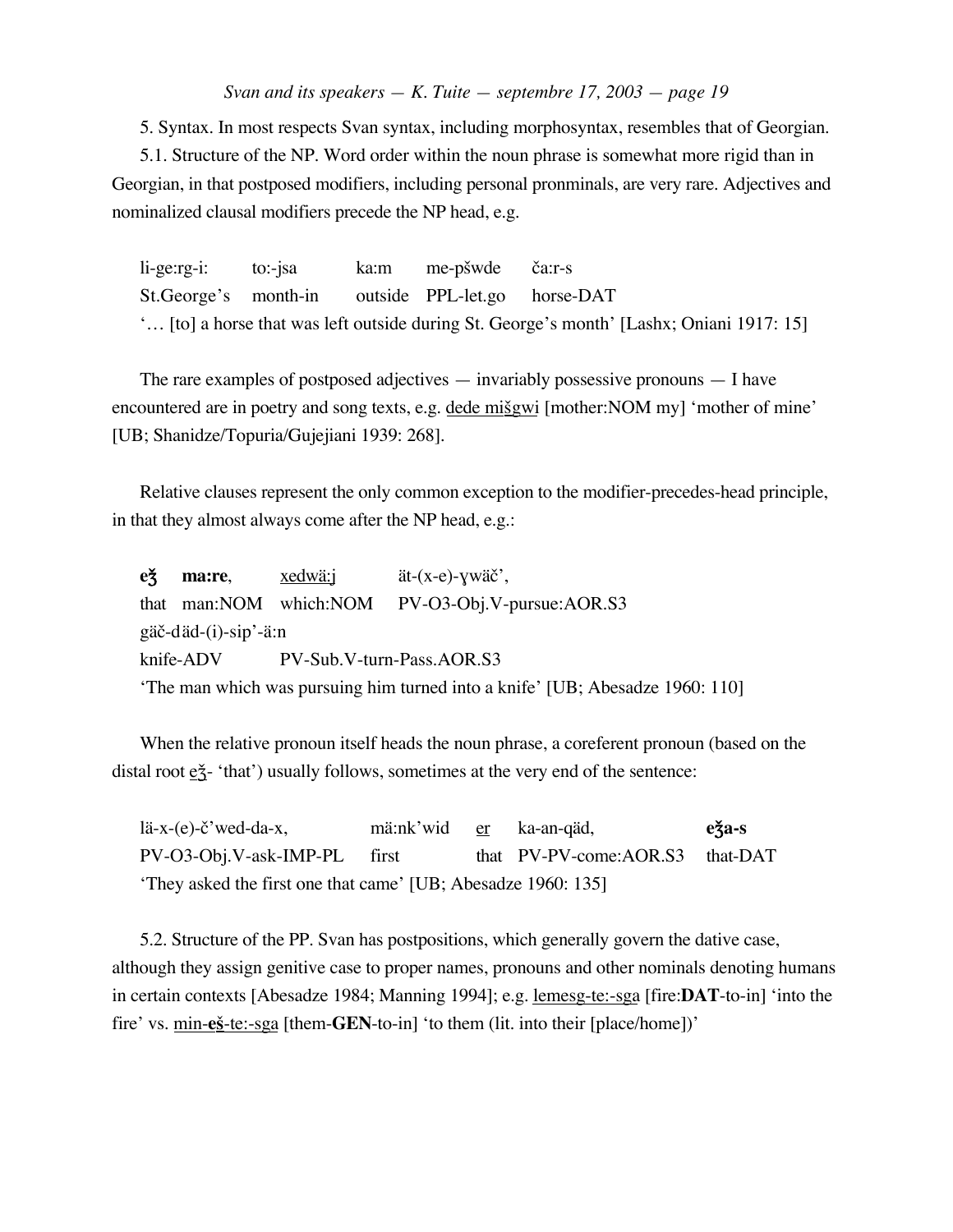5. Syntax. In most respects Svan syntax, including morphosyntax, resembles that of Georgian.

5.1. Structure of the NP. Word order within the noun phrase is somewhat more rigid than in Georgian, in that postposed modifiers, including personal pronminals, are very rare. Adjectives and nominalized clausal modifiers precede the NP head, e.g.

li-ge:rg-i: to:-jsa ka:m me-pšwde ča:r-s St.George's month-in outside PPL-let.go horse-DAT '… [to] a horse that was left outside during St. George's month' [Lashx; Oniani 1917: 15]

The rare examples of postposed adjectives — invariably possessive pronouns — I have encountered are in poetry and song texts, e.g. dede misgwi [mother:NOM my] 'mother of mine' [UB; Shanidze/Topuria/Gujejiani 1939: 268].

Relative clauses represent the only common exception to the modifier-precedes-head principle, in that they almost always come after the NP head, e.g.:

**e** $\check{\mathbf{z}}$  **ma:re**, xedwä:j ät-(x-e)- $\check{\mathbf{y}}$ wäč', that man:NOM which:NOM PV-O3-Obj.V-pursue:AOR.S3 gäč-däd-(i)-sip'-ä:n knife-ADV PV-Sub.V-turn-Pass.AOR.S3 'The man which was pursuing him turned into a knife' [UB; Abesadze 1960: 110]

When the relative pronoun itself heads the noun phrase, a coreferent pronoun (based on the distal root  $e\tilde{z}$ - 'that') usually follows, sometimes at the very end of the sentence:

lä-x-(e)-č'wed-da-x, mä:nk'wid <u>er</u> ka-an-qäd, **e** $\check{z}$ a-s PV-O3-Obj.V-ask-IMP-PL first that PV-PV-come:AOR.S3 that-DAT 'They asked the first one that came' [UB; Abesadze 1960: 135]

5.2. Structure of the PP. Svan has postpositions, which generally govern the dative case, although they assign genitive case to proper names, pronouns and other nominals denoting humans in certain contexts [Abesadze 1984; Manning 1994]; e.g. lemesg-te:-sga [fire:**DAT**-to-in] 'into the fire' vs. min-e<u>§-te:-sga</u> [them-**GEN**-to-in] 'to them (lit. into their [place/home])'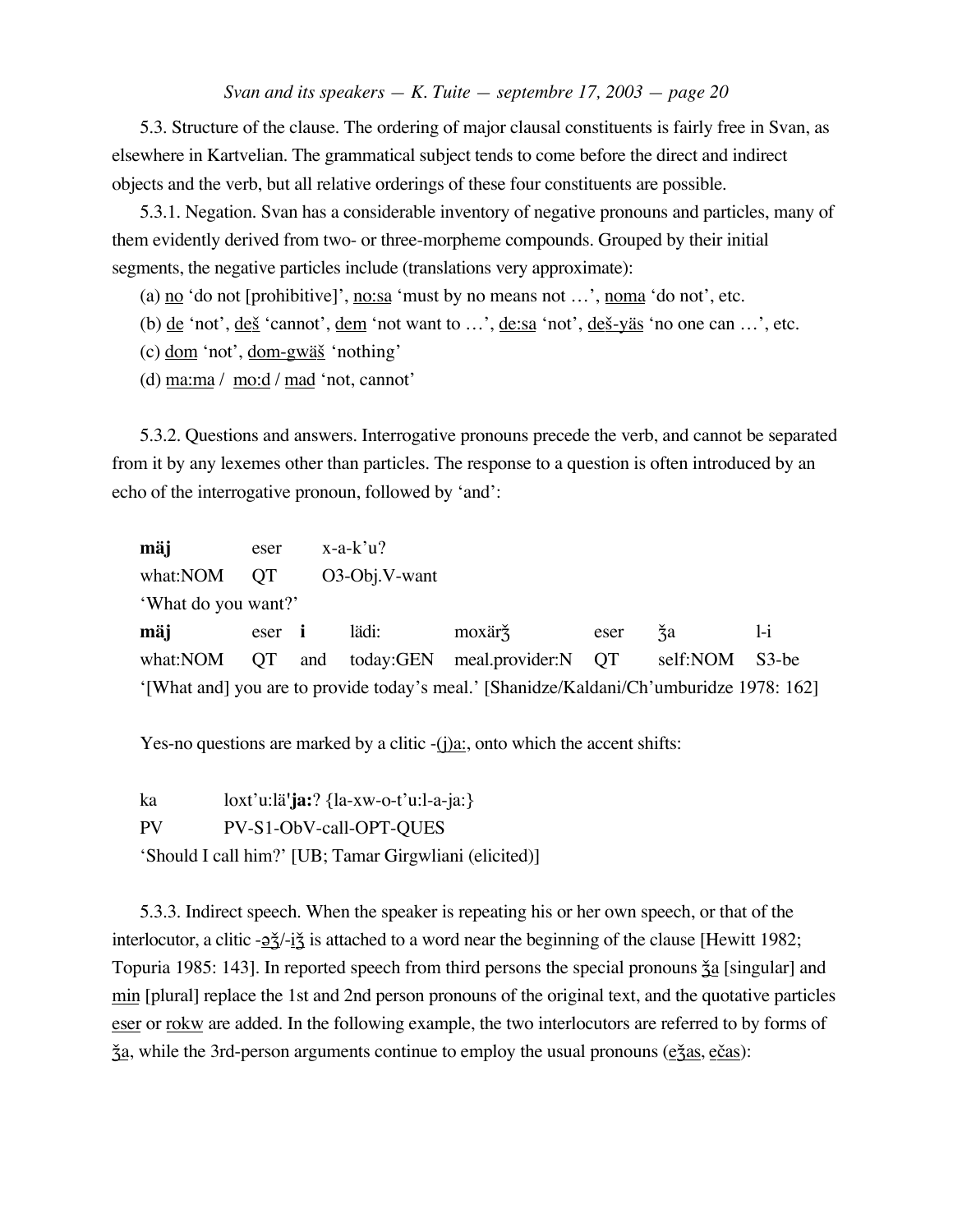5.3. Structure of the clause. The ordering of major clausal constituents is fairly free in Svan, as elsewhere in Kartvelian. The grammatical subject tends to come before the direct and indirect objects and the verb, but all relative orderings of these four constituents are possible.

5.3.1. Negation. Svan has a considerable inventory of negative pronouns and particles, many of them evidently derived from two- or three-morpheme compounds. Grouped by their initial segments, the negative particles include (translations very approximate):

(a) <u>no</u> 'do not [prohibitive]', no:sa 'must by no means not ...', noma 'do not', etc.

(b)  $\underline{de}$  'not',  $\underline{de}$  'cannot',  $\underline{dem}$  'not want to ...',  $\underline{de}$  :sa 'not',  $\underline{de}$   $\underline{e}$  'no one can ...', etc.

(c) dom 'not', dom-gwä£ 'nothing'

(d) ma:ma / mo:d / mad 'not, cannot'

5.3.2. Questions and answers. Interrogative pronouns precede the verb, and cannot be separated from it by any lexemes other than particles. The response to a question is often introduced by an echo of the interrogative pronoun, followed by 'and':

**mäj** eser x-a-k'u? what:NOM QT O3-Obj.V-want 'What do you want?' **mäj** eser **i** lädi: moxärǯ eser ǯa l-i what:NOM QT and today:GEN meal.provider:N QT self:NOM S3-be '[What and] you are to provide today's meal.' [Shanidze/Kaldani/Ch'umburidze 1978: 162]

Yes-no questions are marked by a clitic  $-(i)a$ : onto which the accent shifts:

ka loxt'u:lä**'ja:**? {la-xw-o-t'u:l-a-ja:} PV PV-S1-ObV-call-OPT-QUES 'Should I call him?' [UB; Tamar Girgwliani (elicited)]

5.3.3. Indirect speech. When the speaker is repeating his or her own speech, or that of the interlocutor, a clitic - $\frac{\partial \xi}{\partial i}$  is attached to a word near the beginning of the clause [Hewitt 1982; Topuria 1985: 143]. In reported speech from third persons the special pronouns  $\tilde{\zeta}$  [singular] and min [plural] replace the 1st and 2nd person pronouns of the original text, and the quotative particles eser or <u>rokw</u> are added. In the following example, the two interlocutors are referred to by forms of <u>ža</u>, while the 3rd-person arguments continue to employ the usual pronouns (ežas, e<u>čas</u>):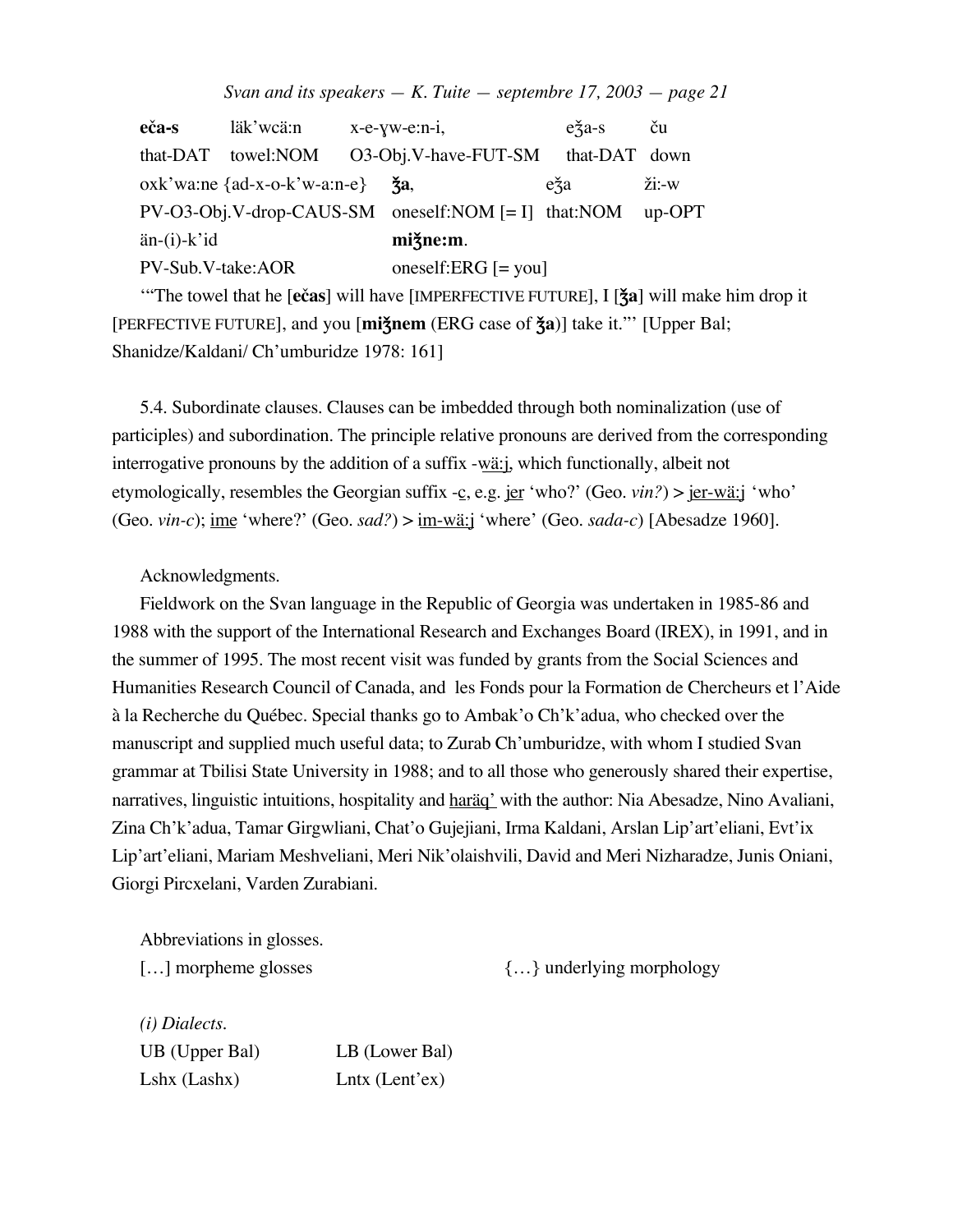|  | Svan and its speakers $-$ K. Tuite $-$ septembre 17, 2003 $-$ page 21 |  |  |
|--|-----------------------------------------------------------------------|--|--|
|--|-----------------------------------------------------------------------|--|--|

**eča-s** läk'wcä:n x-e-yw-e:n-i, e $\check{z}$ a-s ču that-DAT towel:NOM O3-Obj.V-have-FUT-SM that-DAT down oxk'wa:ne {ad-x-o-k'w-a:n-e}  $\check{\mathbf{x}}$ a, e $\check{\mathbf{x}}$ a e $\check{\mathbf{x}}$ a  $\check{\mathbf{z}}$ i:-w PV-O3-Obj.V-drop-CAUS-SM oneself:NOM [= I] that:NOM up-OPT än-(i)-k'id **mi**Z&**ne:m**. PV-Sub.V-take:AOR oneself:ERG [= you]

"The towel that he [ečas] will have [IMPERFECTIVE FUTURE], I [ $\frac{2}{3}a$ ] will make him drop it [PERFECTIVE FUTURE], and you [**miǯnem** (ERG case of  $\check{z}a$ )] take it."' [Upper Bal; Shanidze/Kaldani/ Ch'umburidze 1978: 161]

5.4. Subordinate clauses. Clauses can be imbedded through both nominalization (use of participles) and subordination. The principle relative pronouns are derived from the corresponding interrogative pronouns by the addition of a suffix -wä:j, which functionally, albeit not etymologically, resembles the Georgian suffix -c, e.g. jer 'who?' (Geo. *vin?*) > jer-wä:j 'who' (Geo. *vin-c*); ime 'where?' (Geo. *sad?*) > im-wä:j 'where' (Geo. *sada-c*) [Abesadze 1960].

Acknowledgments.

Fieldwork on the Svan language in the Republic of Georgia was undertaken in 1985-86 and 1988 with the support of the International Research and Exchanges Board (IREX), in 1991, and in the summer of 1995. The most recent visit was funded by grants from the Social Sciences and Humanities Research Council of Canada, and les Fonds pour la Formation de Chercheurs et l'Aide à la Recherche du Québec. Special thanks go to Ambak'o Ch'k'adua, who checked over the manuscript and supplied much useful data; to Zurab Ch'umburidze, with whom I studied Svan grammar at Tbilisi State University in 1988; and to all those who generously shared their expertise, narratives, linguistic intuitions, hospitality and haräq' with the author: Nia Abesadze, Nino Avaliani, Zina Ch'k'adua, Tamar Girgwliani, Chat'o Gujejiani, Irma Kaldani, Arslan Lip'art'eliani, Evt'ix Lip'art'eliani, Mariam Meshveliani, Meri Nik'olaishvili, David and Meri Nizharadze, Junis Oniani, Giorgi Pircxelani, Varden Zurabiani.

Abbreviations in glosses.

[…] morpheme glosses {…} underlying morphology

*(i) Dialects.* UB (Upper Bal) LB (Lower Bal) Lshx (Lashx) Lntx (Lent'ex)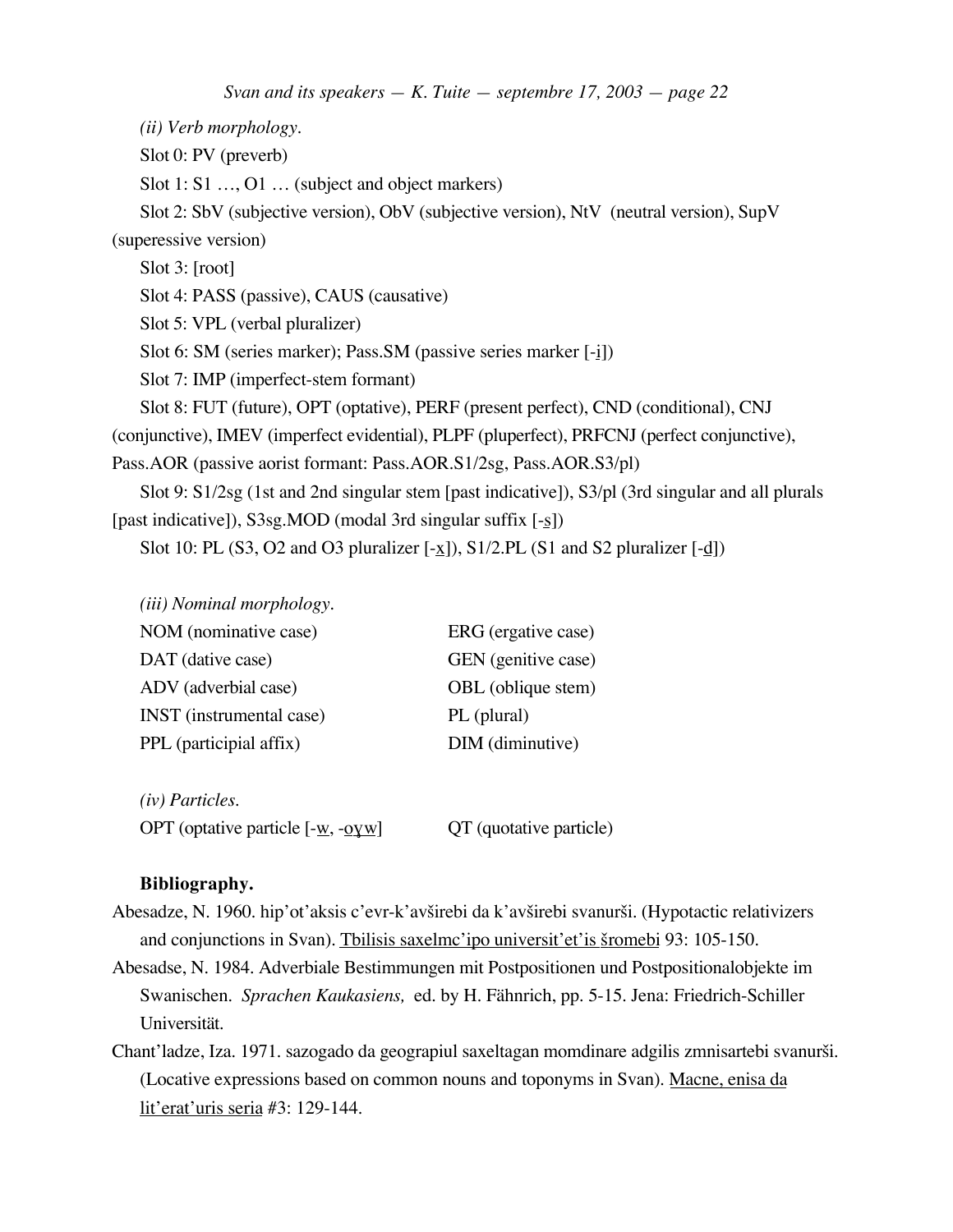*(ii) Verb morphology.* Slot 0: PV (preverb) Slot 1: S1 ..., O1 ... (subject and object markers) Slot 2: SbV (subjective version), ObV (subjective version), NtV (neutral version), SupV (superessive version) Slot 3: [root] Slot 4: PASS (passive), CAUS (causative) Slot 5: VPL (verbal pluralizer) Slot 6: SM (series marker); Pass.SM (passive series marker [-i]) Slot 7: IMP (imperfect-stem formant) Slot 8: FUT (future), OPT (optative), PERF (present perfect), CND (conditional), CNJ (conjunctive), IMEV (imperfect evidential), PLPF (pluperfect), PRFCNJ (perfect conjunctive), Pass.AOR (passive aorist formant: Pass.AOR.S1/2sg, Pass.AOR.S3/pl) Slot 9: S1/2sg (1st and 2nd singular stem [past indicative]), S3/pl (3rd singular and all plurals [past indicative]), S3sg.MOD (modal 3rd singular suffix [-s]) Slot 10: PL (S3, O2 and O3 pluralizer  $[-x]$ ), S1/2.PL (S1 and S2 pluralizer  $[-d]$ )

|                         | NOM (nominative case)           | ERG (ergative case) |
|-------------------------|---------------------------------|---------------------|
| DAT (dative case)       |                                 | GEN (genitive case) |
| ADV (adverbial case)    |                                 | OBL (oblique stem)  |
|                         | <b>INST</b> (instrumental case) | PL (plural)         |
| PPL (participial affix) |                                 | DIM (diminutive)    |
|                         |                                 |                     |

*(iv) Particles.* OPT (optative particle  $[-w, -Q\gamma w]$  QT (quotative particle)

# **Bibliography.**

*(iii) Nominal morphology.*

- Abesadze, N. 1960. hip'ot'aksis c'evr-k'avširebi da k'avširebi svanurši. (Hypotactic relativizers and conjunctions in Svan). Thilisis saxelme'ipo universit'et'is šromebi 93: 105-150.
- Abesadse, N. 1984. Adverbiale Bestimmungen mit Postpositionen und Postpositionalobjekte im Swanischen. *Sprachen Kaukasiens,* ed. by H. Fähnrich, pp. 5-15. Jena: Friedrich-Schiller Universität.
- Chant'ladze, Iza. 1971. sazogado da geograpiul saxeltagan momdinare adgilis zmnisartebi svanurši. (Locative expressions based on common nouns and toponyms in Svan). Macne, enisa da lit'erat'uris seria #3: 129-144.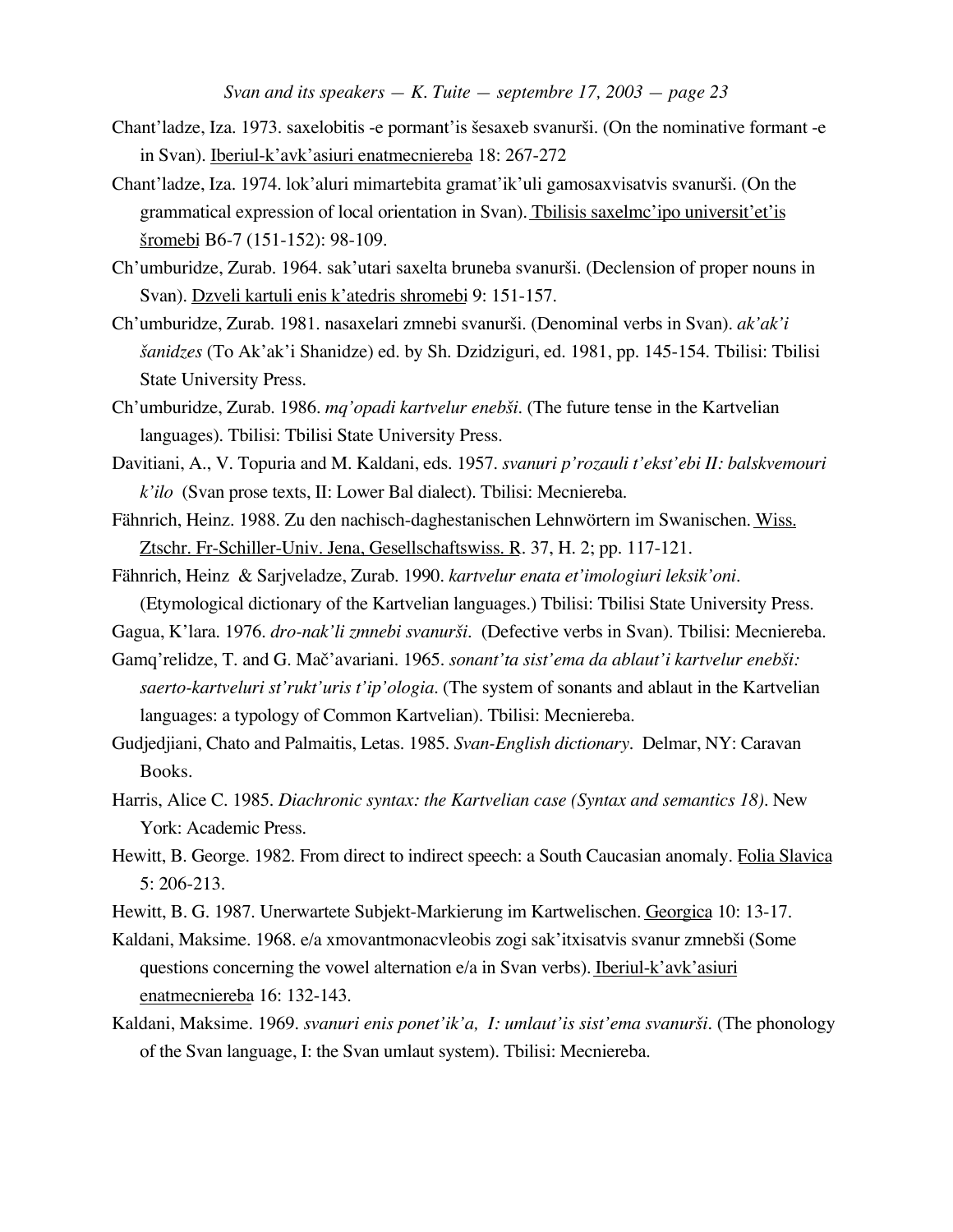- Chant'ladze, Iza. 1973. saxelobitis -e pormant'is šesaxeb svanurši. (On the nominative formant -e in Svan). Iberiul-k'avk'asiuri enatmecniereba 18: 267-272
- Chant'ladze, Iza. 1974. lok'aluri mimartebita gramat'ik'uli gamosaxvisatvis svanur£i. (On the grammatical expression of local orientation in Svan). Tbilisis saxelme'ipo universit'et'is £ romebi B6-7 (151-152): 98-109.
- Ch'umburidze, Zurab. 1964. sak'utari saxelta bruneba svanurši. (Declension of proper nouns in Svan). Dzveli kartuli enis k'atedris shromebi 9: 151-157.
- Ch'umburidze, Zurab. 1981. nasaxelari zmnebi svanur£i. (Denominal verbs in Svan). *ak'ak'i £anidzes* (To Ak'ak'i Shanidze) ed. by Sh. Dzidziguri, ed. 1981, pp. 145-154. Tbilisi: Tbilisi State University Press.
- Ch'umburidze, Zurab. 1986. *mq'opadi kartvelur eneb£i.* (The future tense in the Kartvelian languages). Tbilisi: Tbilisi State University Press.
- Davitiani, A., V. Topuria and M. Kaldani, eds. 1957. *svanuri p'rozauli t'ekst'ebi II: balskvemouri k'ilo* (Svan prose texts, II: Lower Bal dialect). Tbilisi: Mecniereba.
- Fähnrich, Heinz. 1988. Zu den nachisch-daghestanischen Lehnwörtern im Swanischen. Wiss. Ztschr. Fr-Schiller-Univ. Jena, Gesellschaftswiss. R. 37, H. 2; pp. 117-121.
- Fähnrich, Heinz & Sarjveladze, Zurab. 1990. *kartvelur enata et'imologiuri leksik'oni.* (Etymological dictionary of the Kartvelian languages.) Tbilisi: Tbilisi State University Press.
- Gagua, K'lara. 1976. *dro-nak'li zmnebi svanur£i.* (Defective verbs in Svan). Tbilisi: Mecniereba.
- Gamq'relidze, T. and G. Mač'avariani. 1965. *sonant'ta sist'ema da ablaut'i kartvelur enebši*: *saerto-kartveluri st'rukt'uris t'ip'ologia.* (The system of sonants and ablaut in the Kartvelian languages: a typology of Common Kartvelian). Tbilisi: Mecniereba.
- Gudjedjiani, Chato and Palmaitis, Letas. 1985. *Svan-English dictionary.* Delmar, NY: Caravan Books.
- Harris, Alice C. 1985. *Diachronic syntax: the Kartvelian case (Syntax and semantics 18).* New York: Academic Press.
- Hewitt, B. George. 1982. From direct to indirect speech: a South Caucasian anomaly. Folia Slavica 5: 206-213.
- Hewitt, B. G. 1987. Unerwartete Subjekt-Markierung im Kartwelischen. Georgica 10: 13-17.
- Kaldani, Maksime. 1968. e/a xmovantmonacvleobis zogi sak'itxisatvis svanur zmnebši (Some questions concerning the vowel alternation e/a in Svan verbs). Iberiul-k'avk'asiuri enatmecniereba 16: 132-143.
- Kaldani, Maksime. 1969. *svanuri enis ponet'ik'a, I: umlaut'is sist'ema svanurši*. (The phonology of the Svan language, I: the Svan umlaut system). Tbilisi: Mecniereba.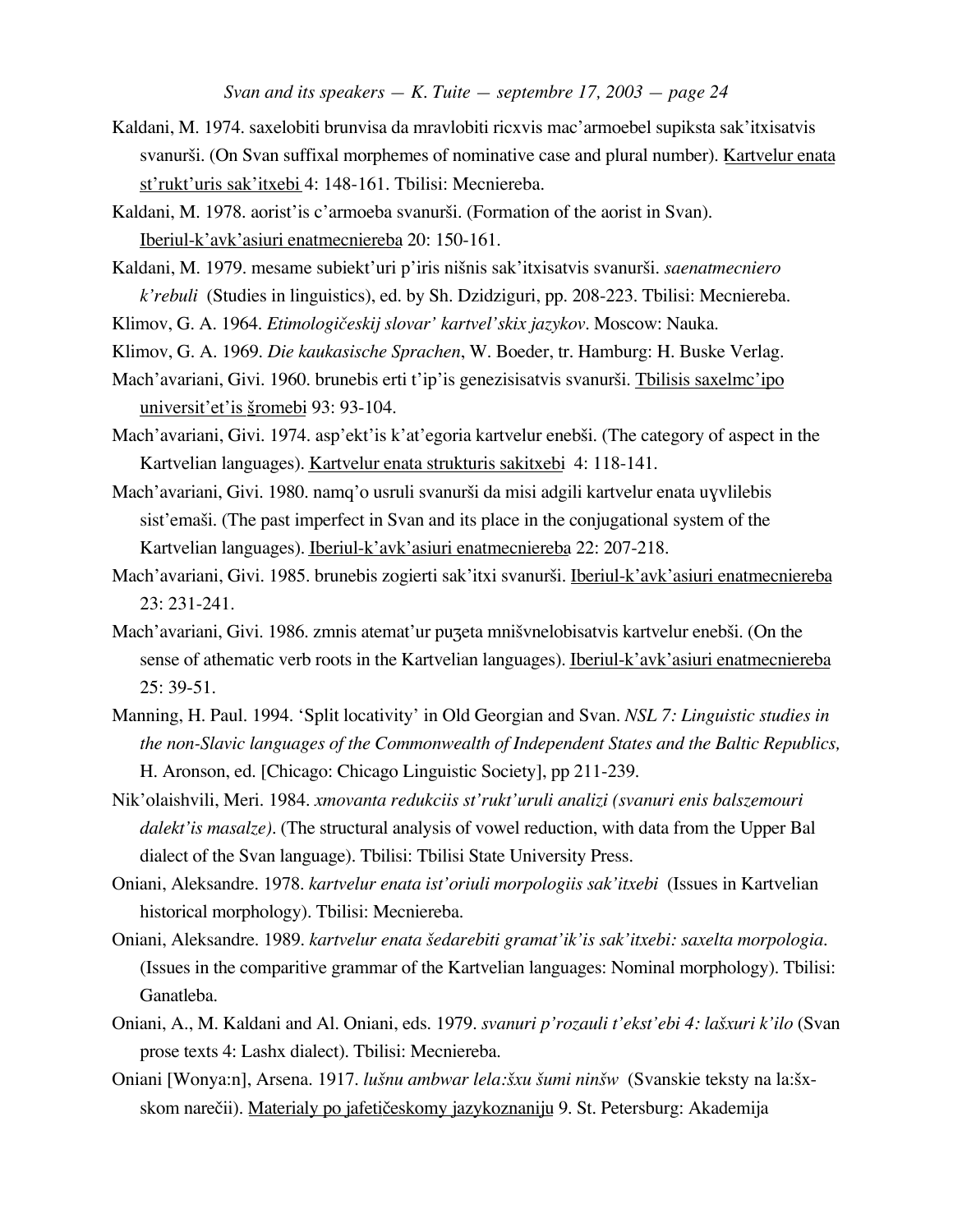- Kaldani, M. 1974. saxelobiti brunvisa da mravlobiti ricxvis mac'armoebel supiksta sak'itxisatvis svanurši. (On Svan suffixal morphemes of nominative case and plural number). Kartvelur enata st'rukt'uris sak'itxebi 4: 148-161. Tbilisi: Mecniereba.
- Kaldani, M. 1978. aorist'is c'armoeba svanurši. (Formation of the aorist in Svan). Iberiul-k'avk'asiuri enatmecniereba 20: 150-161.
- Kaldani, M. 1979. mesame subiekt'uri p'iris ni£nis sak'itxisatvis svanur£i. *saenatmecniero k'rebuli* (Studies in linguistics), ed. by Sh. Dzidziguri, pp. 208-223. Tbilisi: Mecniereba.
- Klimov, G. A. 1964. *Etimologi™eskij slovar' kartvel'skix jazykov*. Moscow: Nauka.
- Klimov, G. A. 1969. *Die kaukasische Sprachen*, W. Boeder, tr. Hamburg: H. Buske Verlag.
- Mach'avariani, Givi. 1960. brunebis erti t'ip'is genezisisatvis svanurši. Tbilisis saxelmc'ipo universit'et'is <u>šromebi</u> 93: 93-104.
- Mach'avariani, Givi. 1974. asp'ekt'is k'at'egoria kartvelur enebši. (The category of aspect in the Kartvelian languages). Kartvelur enata strukturis sakitxebi 4: 118-141.
- Mach'avariani, Givi. 1980. namq'o usruli svanurši da misi adgili kartvelur enata uyvlilebis sist'emaši. (The past imperfect in Svan and its place in the conjugational system of the Kartvelian languages). Iberiul-k'avk'asiuri enatmecniereba 22: 207-218.
- Mach'avariani, Givi. 1985. brunebis zogierti sak'itxi svanurši. Iberiul-k'avk'asiuri enatmecniereba 23: 231-241.
- Mach'avariani, Givi. 1986. zmnis atemat'ur puzeta mnišvnelobisatvis kartvelur enebši. (On the sense of athematic verb roots in the Kartvelian languages). Iberiul-k'avk'asiuri enatmecniereba 25: 39-51.
- Manning, H. Paul. 1994. 'Split locativity' in Old Georgian and Svan. *NSL 7: Linguistic studies in the non-Slavic languages of the Commonwealth of Independent States and the Baltic Republics,* H. Aronson, ed. [Chicago: Chicago Linguistic Society], pp 211-239.
- Nik'olaishvili, Meri. 1984. *xmovanta redukciis st'rukt'uruli analizi (svanuri enis balszemouri dalekt'is masalze).* (The structural analysis of vowel reduction, with data from the Upper Bal dialect of the Svan language). Tbilisi: Tbilisi State University Press.
- Oniani, Aleksandre. 1978. *kartvelur enata ist'oriuli morpologiis sak'itxebi* (Issues in Kartvelian historical morphology). Tbilisi: Mecniereba.
- Oniani, Aleksandre. 1989. *kartvelur enata £edarebiti gramat'ik'is sak'itxebi: saxelta morpologia.* (Issues in the comparitive grammar of the Kartvelian languages: Nominal morphology). Tbilisi: Ganatleba.
- Oniani, A., M. Kaldani and Al. Oniani, eds. 1979. *svanuri p'rozauli t'ekst'ebi 4: la£xuri k'ilo* (Svan prose texts 4: Lashx dialect). Tbilisi: Mecniereba.
- Oniani [Wonya:n], Arsena. 1917. *lu£nu ambwar lela:£xu £umi nin£w* (Svanskie teksty na la:£xskom narečii). Materialy po jafetičeskomy jazykoznaniju 9. St. Petersburg: Akademija